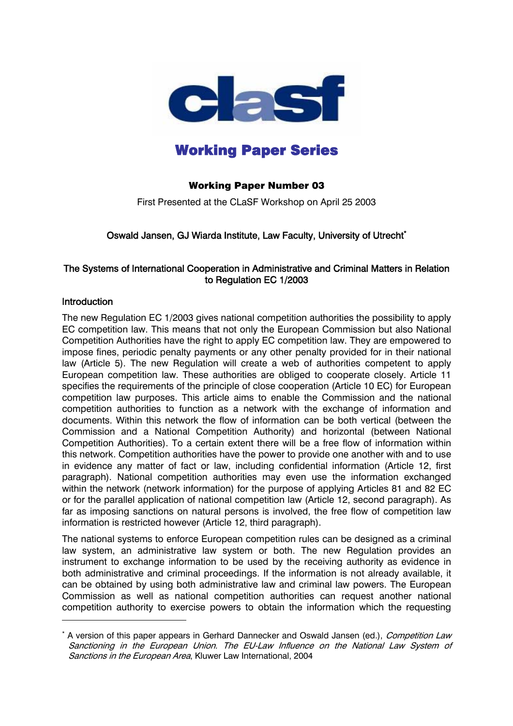

# Working Paper Series

## Working Paper Number 03

First Presented at the CLaSF Workshop on April 25 2003

## Oswald Jansen, GJ Wiarda Institute, Law Faculty, University of Utrecht<sup>\*</sup>

## The Systems of International Cooperation in Administrative and Criminal Matters in Relation to Regulation EC 1/2003

## **Introduction**

 $\overline{a}$ 

The new Regulation EC 1/2003 gives national competition authorities the possibility to apply EC competition law. This means that not only the European Commission but also National Competition Authorities have the right to apply EC competition law. They are empowered to impose fines, periodic penalty payments or any other penalty provided for in their national law (Article 5). The new Regulation will create a web of authorities competent to apply European competition law. These authorities are obliged to cooperate closely. Article 11 specifies the requirements of the principle of close cooperation (Article 10 EC) for European competition law purposes. This article aims to enable the Commission and the national competition authorities to function as a network with the exchange of information and documents. Within this network the flow of information can be both vertical (between the Commission and a National Competition Authority) and horizontal (between National Competition Authorities). To a certain extent there will be a free flow of information within this network. Competition authorities have the power to provide one another with and to use in evidence any matter of fact or law, including confidential information (Article 12, first paragraph). National competition authorities may even use the information exchanged within the network (network information) for the purpose of applying Articles 81 and 82 EC or for the parallel application of national competition law (Article 12, second paragraph). As far as imposing sanctions on natural persons is involved, the free flow of competition law information is restricted however (Article 12, third paragraph).

The national systems to enforce European competition rules can be designed as a criminal law system, an administrative law system or both. The new Regulation provides an instrument to exchange information to be used by the receiving authority as evidence in both administrative and criminal proceedings. If the information is not already available, it can be obtained by using both administrative law and criminal law powers. The European Commission as well as national competition authorities can request another national competition authority to exercise powers to obtain the information which the requesting

<sup>\*</sup> A version of this paper appears in Gerhard Dannecker and Oswald Jansen (ed.), Competition Law Sanctioning in the European Union. The EU-Law Influence on the National Law System of Sanctions in the European Area, Kluwer Law International, 2004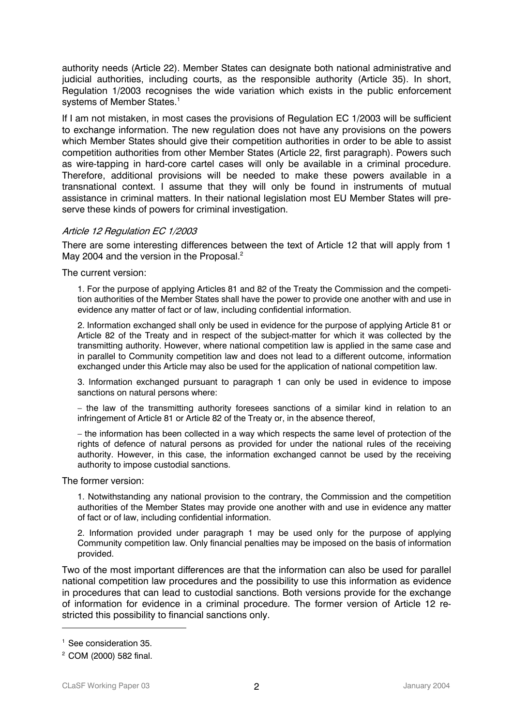authority needs (Article 22). Member States can designate both national administrative and judicial authorities, including courts, as the responsible authority (Article 35). In short, Regulation 1/2003 recognises the wide variation which exists in the public enforcement systems of Member States.<sup>1</sup>

If I am not mistaken, in most cases the provisions of Regulation EC 1/2003 will be sufficient to exchange information. The new regulation does not have any provisions on the powers which Member States should give their competition authorities in order to be able to assist competition authorities from other Member States (Article 22, first paragraph). Powers such as wire-tapping in hard-core cartel cases will only be available in a criminal procedure. Therefore, additional provisions will be needed to make these powers available in a transnational context. I assume that they will only be found in instruments of mutual assistance in criminal matters. In their national legislation most EU Member States will preserve these kinds of powers for criminal investigation.

#### Article 12 Regulation EC 1/2003

There are some interesting differences between the text of Article 12 that will apply from 1 May 2004 and the version in the Proposal.<sup>2</sup>

The current version:

1. For the purpose of applying Articles 81 and 82 of the Treaty the Commission and the competition authorities of the Member States shall have the power to provide one another with and use in evidence any matter of fact or of law, including confidential information.

2. Information exchanged shall only be used in evidence for the purpose of applying Article 81 or Article 82 of the Treaty and in respect of the subject-matter for which it was collected by the transmitting authority. However, where national competition law is applied in the same case and in parallel to Community competition law and does not lead to a different outcome, information exchanged under this Article may also be used for the application of national competition law.

3. Information exchanged pursuant to paragraph 1 can only be used in evidence to impose sanctions on natural persons where:

– the law of the transmitting authority foresees sanctions of a similar kind in relation to an infringement of Article 81 or Article 82 of the Treaty or, in the absence thereof,

– the information has been collected in a way which respects the same level of protection of the rights of defence of natural persons as provided for under the national rules of the receiving authority. However, in this case, the information exchanged cannot be used by the receiving authority to impose custodial sanctions.

The former version:

1. Notwithstanding any national provision to the contrary, the Commission and the competition authorities of the Member States may provide one another with and use in evidence any matter of fact or of law, including confidential information.

2. Information provided under paragraph 1 may be used only for the purpose of applying Community competition law. Only financial penalties may be imposed on the basis of information provided.

Two of the most important differences are that the information can also be used for parallel national competition law procedures and the possibility to use this information as evidence in procedures that can lead to custodial sanctions. Both versions provide for the exchange of information for evidence in a criminal procedure. The former version of Article 12 restricted this possibility to financial sanctions only.

<sup>&</sup>lt;sup>1</sup> See consideration 35.

<sup>2</sup> COM (2000) 582 final.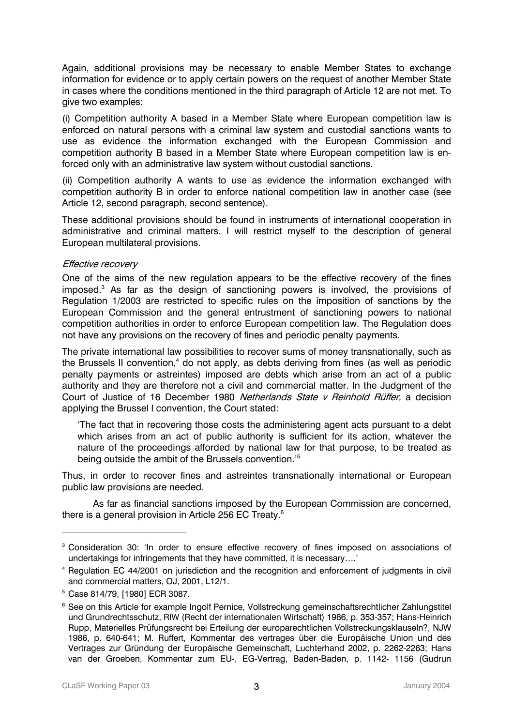Again, additional provisions may be necessary to enable Member States to exchange information for evidence or to apply certain powers on the request of another Member State in cases where the conditions mentioned in the third paragraph of Article 12 are not met. To give two examples:

(i) Competition authority A based in a Member State where European competition law is enforced on natural persons with a criminal law system and custodial sanctions wants to use as evidence the information exchanged with the European Commission and competition authority B based in a Member State where European competition law is enforced only with an administrative law system without custodial sanctions.

(ii) Competition authority A wants to use as evidence the information exchanged with competition authority B in order to enforce national competition law in another case (see Article 12, second paragraph, second sentence).

These additional provisions should be found in instruments of international cooperation in administrative and criminal matters. I will restrict myself to the description of general European multilateral provisions.

#### Effective recovery

One of the aims of the new regulation appears to be the effective recovery of the fines imposed.<sup>3</sup> As far as the design of sanctioning powers is involved, the provisions of Regulation 1/2003 are restricted to specific rules on the imposition of sanctions by the European Commission and the general entrustment of sanctioning powers to national competition authorities in order to enforce European competition law. The Regulation does not have any provisions on the recovery of fines and periodic penalty payments.

The private international law possibilities to recover sums of money transnationally, such as the Brussels II convention,<sup>4</sup> do not apply, as debts deriving from fines (as well as periodic penalty payments or astreintes) imposed are debts which arise from an act of a public authority and they are therefore not a civil and commercial matter. In the Judgment of the Court of Justice of 16 December 1980 Netherlands State v Reinhold Rüffer, a decision applying the Brussel I convention, the Court stated:

'The fact that in recovering those costs the administering agent acts pursuant to a debt which arises from an act of public authority is sufficient for its action, whatever the nature of the proceedings afforded by national law for that purpose, to be treated as being outside the ambit of the Brussels convention.'5

Thus, in order to recover fines and astreintes transnationally international or European public law provisions are needed.

As far as financial sanctions imposed by the European Commission are concerned, there is a general provision in Article 256 EC Treaty.<sup>6</sup>

<sup>&</sup>lt;sup>3</sup> Consideration 30: 'In order to ensure effective recovery of fines imposed on associations of undertakings for infringements that they have committed, it is necessary….'

<sup>4</sup> Regulation EC 44/2001 on jurisdiction and the recognition and enforcement of judgments in civil and commercial matters, OJ, 2001, L12/1.

<sup>5</sup> Case 814/79, [1980] ECR 3087.

<sup>&</sup>lt;sup>6</sup> See on this Article for example Ingolf Pernice, Vollstreckung gemeinschaftsrechtlicher Zahlungstitel und Grundrechtsschutz, RIW (Recht der internationalen Wirtschaft) 1986, p. 353-357; Hans-Heinrich Rupp, Materielles Prüfungsrecht bei Erteilung der europarechtlichen Vollstreckungsklauseln?, NJW 1986, p. 640-641; M. Ruffert, Kommentar des vertrages über die Europäische Union und des Vertrages zur Gründung der Europäische Gemeinschaft, Luchterhand 2002, p. 2262-2263; Hans van der Groeben, Kommentar zum EU-, EG-Vertrag, Baden-Baden, p. 1142- 1156 (Gudrun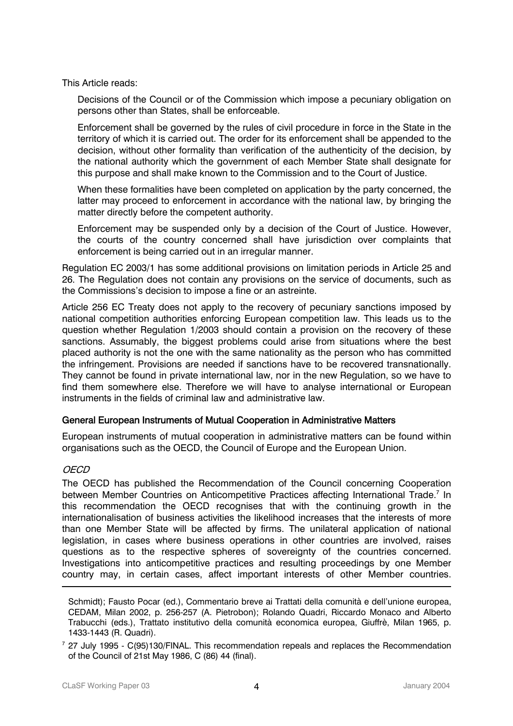This Article reads:

Decisions of the Council or of the Commission which impose a pecuniary obligation on persons other than States, shall be enforceable.

Enforcement shall be governed by the rules of civil procedure in force in the State in the territory of which it is carried out. The order for its enforcement shall be appended to the decision, without other formality than verification of the authenticity of the decision, by the national authority which the government of each Member State shall designate for this purpose and shall make known to the Commission and to the Court of Justice.

When these formalities have been completed on application by the party concerned, the latter may proceed to enforcement in accordance with the national law, by bringing the matter directly before the competent authority.

Enforcement may be suspended only by a decision of the Court of Justice. However, the courts of the country concerned shall have jurisdiction over complaints that enforcement is being carried out in an irregular manner.

Regulation EC 2003/1 has some additional provisions on limitation periods in Article 25 and 26. The Regulation does not contain any provisions on the service of documents, such as the Commissions's decision to impose a fine or an astreinte.

Article 256 EC Treaty does not apply to the recovery of pecuniary sanctions imposed by national competition authorities enforcing European competition law. This leads us to the question whether Regulation 1/2003 should contain a provision on the recovery of these sanctions. Assumably, the biggest problems could arise from situations where the best placed authority is not the one with the same nationality as the person who has committed the infringement. Provisions are needed if sanctions have to be recovered transnationally. They cannot be found in private international law, nor in the new Regulation, so we have to find them somewhere else. Therefore we will have to analyse international or European instruments in the fields of criminal law and administrative law.

## General European Instruments of Mutual Cooperation in Administrative Matters

European instruments of mutual cooperation in administrative matters can be found within organisations such as the OECD, the Council of Europe and the European Union.

## OECD

 $\overline{a}$ 

The OECD has published the Recommendation of the Council concerning Cooperation between Member Countries on Anticompetitive Practices affecting International Trade.<sup>7</sup> In this recommendation the OECD recognises that with the continuing growth in the internationalisation of business activities the likelihood increases that the interests of more than one Member State will be affected by firms. The unilateral application of national legislation, in cases where business operations in other countries are involved, raises questions as to the respective spheres of sovereignty of the countries concerned. Investigations into anticompetitive practices and resulting proceedings by one Member country may, in certain cases, affect important interests of other Member countries.

Schmidt); Fausto Pocar (ed.), Commentario breve ai Trattati della comunità e dell'unione europea, CEDAM, Milan 2002, p. 256-257 (A. Pietrobon); Rolando Quadri, Riccardo Monaco and Alberto Trabucchi (eds.), Trattato institutivo della comunità economica europea, Giuffrè, Milan 1965, p. 1433-1443 (R. Quadri).

 $7$  27 July 1995 - C(95)130/FINAL. This recommendation repeals and replaces the Recommendation of the Council of 21st May 1986, C (86) 44 (final).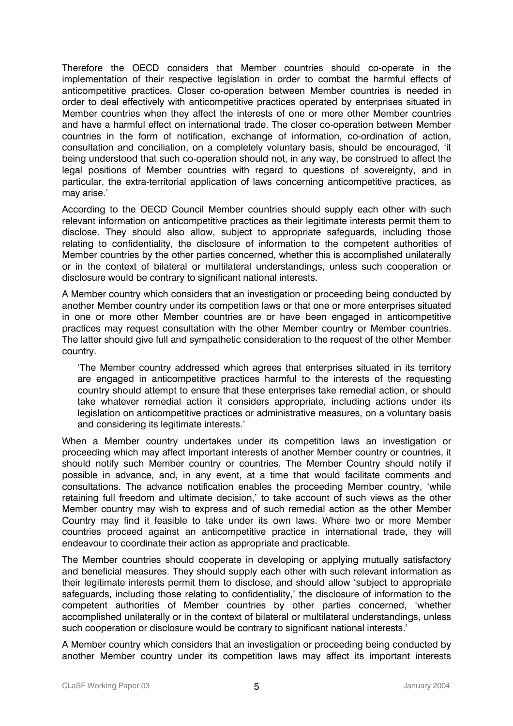Therefore the OECD considers that Member countries should co-operate in the implementation of their respective legislation in order to combat the harmful effects of anticompetitive practices. Closer co-operation between Member countries is needed in order to deal effectively with anticompetitive practices operated by enterprises situated in Member countries when they affect the interests of one or more other Member countries and have a harmful effect on international trade. The closer co-operation between Member countries in the form of notification, exchange of information, co-ordination of action, consultation and conciliation, on a completely voluntary basis, should be encouraged, 'it being understood that such co-operation should not, in any way, be construed to affect the legal positions of Member countries with regard to questions of sovereignty, and in particular, the extra-territorial application of laws concerning anticompetitive practices, as may arise.'

According to the OECD Council Member countries should supply each other with such relevant information on anticompetitive practices as their legitimate interests permit them to disclose. They should also allow, subject to appropriate safeguards, including those relating to confidentiality, the disclosure of information to the competent authorities of Member countries by the other parties concerned, whether this is accomplished unilaterally or in the context of bilateral or multilateral understandings, unless such cooperation or disclosure would be contrary to significant national interests.

A Member country which considers that an investigation or proceeding being conducted by another Member country under its competition laws or that one or more enterprises situated in one or more other Member countries are or have been engaged in anticompetitive practices may request consultation with the other Member country or Member countries. The latter should give full and sympathetic consideration to the request of the other Member country.

'The Member country addressed which agrees that enterprises situated in its territory are engaged in anticompetitive practices harmful to the interests of the requesting country should attempt to ensure that these enterprises take remedial action, or should take whatever remedial action it considers appropriate, including actions under its legislation on anticompetitive practices or administrative measures, on a voluntary basis and considering its legitimate interests.'

When a Member country undertakes under its competition laws an investigation or proceeding which may affect important interests of another Member country or countries, it should notify such Member country or countries. The Member Country should notify if possible in advance, and, in any event, at a time that would facilitate comments and consultations. The advance notification enables the proceeding Member country, 'while retaining full freedom and ultimate decision,' to take account of such views as the other Member country may wish to express and of such remedial action as the other Member Country may find it feasible to take under its own laws. Where two or more Member countries proceed against an anticompetitive practice in international trade, they will endeavour to coordinate their action as appropriate and practicable.

The Member countries should cooperate in developing or applying mutually satisfactory and beneficial measures. They should supply each other with such relevant information as their legitimate interests permit them to disclose, and should allow 'subject to appropriate safeguards, including those relating to confidentiality,' the disclosure of information to the competent authorities of Member countries by other parties concerned, 'whether accomplished unilaterally or in the context of bilateral or multilateral understandings, unless such cooperation or disclosure would be contrary to significant national interests.'

A Member country which considers that an investigation or proceeding being conducted by another Member country under its competition laws may affect its important interests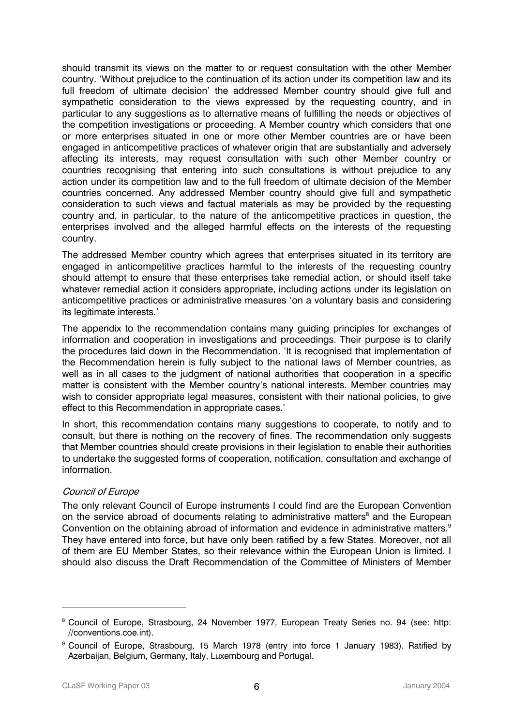should transmit its views on the matter to or request consultation with the other Member country. 'Without prejudice to the continuation of its action under its competition law and its full freedom of ultimate decision' the addressed Member country should give full and sympathetic consideration to the views expressed by the requesting country, and in particular to any suggestions as to alternative means of fulfilling the needs or objectives of the competition investigations or proceeding. A Member country which considers that one or more enterprises situated in one or more other Member countries are or have been engaged in anticompetitive practices of whatever origin that are substantially and adversely affecting its interests, may request consultation with such other Member country or countries recognising that entering into such consultations is without prejudice to any action under its competition law and to the full freedom of ultimate decision of the Member countries concerned. Any addressed Member country should give full and sympathetic consideration to such views and factual materials as may be provided by the requesting country and, in particular, to the nature of the anticompetitive practices in question, the enterprises involved and the alleged harmful effects on the interests of the requesting country.

The addressed Member country which agrees that enterprises situated in its territory are engaged in anticompetitive practices harmful to the interests of the requesting country should attempt to ensure that these enterprises take remedial action, or should itself take whatever remedial action it considers appropriate, including actions under its legislation on anticompetitive practices or administrative measures 'on a voluntary basis and considering its legitimate interests.'

The appendix to the recommendation contains many guiding principles for exchanges of information and cooperation in investigations and proceedings. Their purpose is to clarify the procedures laid down in the Recommendation. 'It is recognised that implementation of the Recommendation herein is fully subject to the national laws of Member countries, as well as in all cases to the judgment of national authorities that cooperation in a specific matter is consistent with the Member country's national interests. Member countries may wish to consider appropriate legal measures, consistent with their national policies, to give effect to this Recommendation in appropriate cases.'

In short, this recommendation contains many suggestions to cooperate, to notify and to consult, but there is nothing on the recovery of fines. The recommendation only suggests that Member countries should create provisions in their legislation to enable their authorities to undertake the suggested forms of cooperation, notification, consultation and exchange of information.

## Council of Europe

The only relevant Council of Europe instruments I could find are the European Convention on the service abroad of documents relating to administrative matters<sup>8</sup> and the European Convention on the obtaining abroad of information and evidence in administrative matters.<sup>9</sup> They have entered into force, but have only been ratified by a few States. Moreover, not all of them are EU Member States, so their relevance within the European Union is limited. I should also discuss the Draft Recommendation of the Committee of Ministers of Member

<sup>&</sup>lt;sup>8</sup> Council of Europe, Strasbourg, 24 November 1977, European Treaty Series no. 94 (see: http: //conventions.coe.int).

<sup>9</sup> Council of Europe, Strasbourg, 15 March 1978 (entry into force 1 January 1983). Ratified by Azerbaijan, Belgium, Germany, Italy, Luxembourg and Portugal.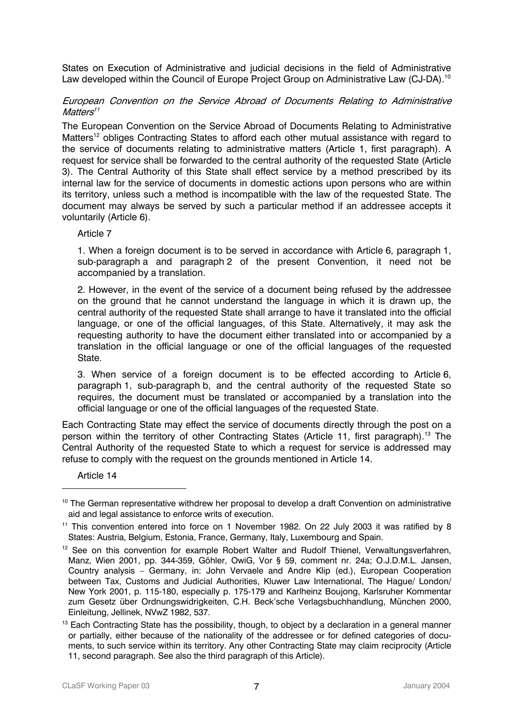States on Execution of Administrative and judicial decisions in the field of Administrative Law developed within the Council of Europe Project Group on Administrative Law (CJ-DA).<sup>10</sup>

## European Convention on the Service Abroad of Documents Relating to Administrative Matters'<sup>1</sup>

The European Convention on the Service Abroad of Documents Relating to Administrative Matters<sup>12</sup> obliges Contracting States to afford each other mutual assistance with regard to the service of documents relating to administrative matters (Article 1, first paragraph). A request for service shall be forwarded to the central authority of the requested State (Article 3). The Central Authority of this State shall effect service by a method prescribed by its internal law for the service of documents in domestic actions upon persons who are within its territory, unless such a method is incompatible with the law of the requested State. The document may always be served by such a particular method if an addressee accepts it voluntarily (Article 6).

#### Article 7

1. When a foreign document is to be served in accordance with Article 6, paragraph 1, sub-paragraph a and paragraph 2 of the present Convention, it need not be accompanied by a translation.

2. However, in the event of the service of a document being refused by the addressee on the ground that he cannot understand the language in which it is drawn up, the central authority of the requested State shall arrange to have it translated into the official language, or one of the official languages, of this State. Alternatively, it may ask the requesting authority to have the document either translated into or accompanied by a translation in the official language or one of the official languages of the requested State.

3. When service of a foreign document is to be effected according to Article 6, paragraph 1, sub-paragraph b, and the central authority of the requested State so requires, the document must be translated or accompanied by a translation into the official language or one of the official languages of the requested State.

Each Contracting State may effect the service of documents directly through the post on a person within the territory of other Contracting States (Article 11, first paragraph).<sup>13</sup> The Central Authority of the requested State to which a request for service is addressed may refuse to comply with the request on the grounds mentioned in Article 14.

Article 14

 $10$  The German representative withdrew her proposal to develop a draft Convention on administrative aid and legal assistance to enforce writs of execution.

<sup>&</sup>lt;sup>11</sup> This convention entered into force on 1 November 1982. On 22 July 2003 it was ratified by 8 States: Austria, Belgium, Estonia, France, Germany, Italy, Luxembourg and Spain.

<sup>&</sup>lt;sup>12</sup> See on this convention for example Robert Walter and Rudolf Thienel, Verwaltungsverfahren, Manz, Wien 2001, pp. 344-359, Göhler, OwiG, Vor § 59, comment nr. 24a; O.J.D.M.L. Jansen, Country analysis – Germany, in: John Vervaele and Andre Klip (ed.), European Cooperation between Tax, Customs and Judicial Authorities, Kluwer Law International, The Hague/ London/ New York 2001, p. 115-180, especially p. 175-179 and Karlheinz Boujong, Karlsruher Kommentar zum Gesetz über Ordnungswidrigkeiten, C.H. Beck'sche Verlagsbuchhandlung, München 2000, Einleitung, Jellinek, NVwZ 1982, 537.

<sup>&</sup>lt;sup>13</sup> Each Contracting State has the possibility, though, to object by a declaration in a general manner or partially, either because of the nationality of the addressee or for defined categories of documents, to such service within its territory. Any other Contracting State may claim reciprocity (Article 11, second paragraph. See also the third paragraph of this Article).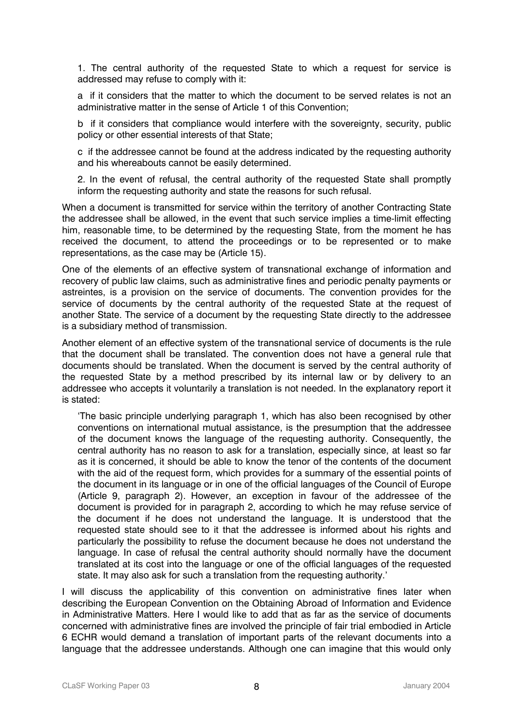1. The central authority of the requested State to which a request for service is addressed may refuse to comply with it:

a if it considers that the matter to which the document to be served relates is not an administrative matter in the sense of Article 1 of this Convention;

b if it considers that compliance would interfere with the sovereignty, security, public policy or other essential interests of that State;

c if the addressee cannot be found at the address indicated by the requesting authority and his whereabouts cannot be easily determined.

2. In the event of refusal, the central authority of the requested State shall promptly inform the requesting authority and state the reasons for such refusal.

When a document is transmitted for service within the territory of another Contracting State the addressee shall be allowed, in the event that such service implies a time-limit effecting him, reasonable time, to be determined by the requesting State, from the moment he has received the document, to attend the proceedings or to be represented or to make representations, as the case may be (Article 15).

One of the elements of an effective system of transnational exchange of information and recovery of public law claims, such as administrative fines and periodic penalty payments or astreintes, is a provision on the service of documents. The convention provides for the service of documents by the central authority of the requested State at the request of another State. The service of a document by the requesting State directly to the addressee is a subsidiary method of transmission.

Another element of an effective system of the transnational service of documents is the rule that the document shall be translated. The convention does not have a general rule that documents should be translated. When the document is served by the central authority of the requested State by a method prescribed by its internal law or by delivery to an addressee who accepts it voluntarily a translation is not needed. In the explanatory report it is stated:

'The basic principle underlying paragraph 1, which has also been recognised by other conventions on international mutual assistance, is the presumption that the addressee of the document knows the language of the requesting authority. Consequently, the central authority has no reason to ask for a translation, especially since, at least so far as it is concerned, it should be able to know the tenor of the contents of the document with the aid of the request form, which provides for a summary of the essential points of the document in its language or in one of the official languages of the Council of Europe (Article 9, paragraph 2). However, an exception in favour of the addressee of the document is provided for in paragraph 2, according to which he may refuse service of the document if he does not understand the language. It is understood that the requested state should see to it that the addressee is informed about his rights and particularly the possibility to refuse the document because he does not understand the language. In case of refusal the central authority should normally have the document translated at its cost into the language or one of the official languages of the requested state. It may also ask for such a translation from the requesting authority.'

I will discuss the applicability of this convention on administrative fines later when describing the European Convention on the Obtaining Abroad of Information and Evidence in Administrative Matters. Here I would like to add that as far as the service of documents concerned with administrative fines are involved the principle of fair trial embodied in Article 6 ECHR would demand a translation of important parts of the relevant documents into a language that the addressee understands. Although one can imagine that this would only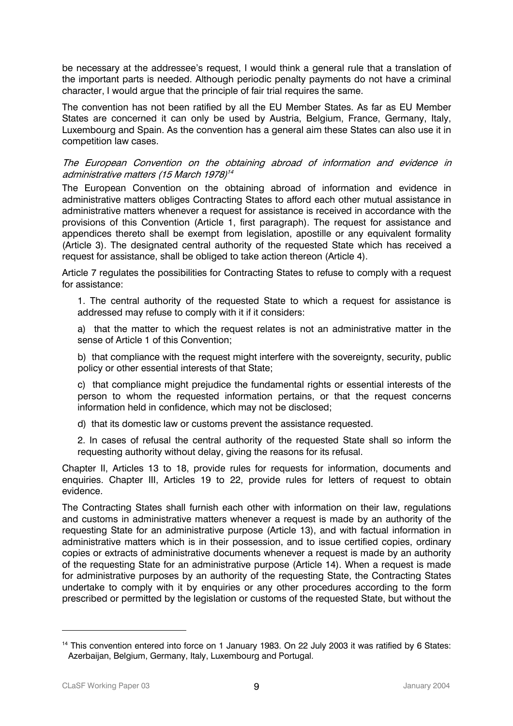be necessary at the addressee's request, I would think a general rule that a translation of the important parts is needed. Although periodic penalty payments do not have a criminal character, I would argue that the principle of fair trial requires the same.

The convention has not been ratified by all the EU Member States. As far as EU Member States are concerned it can only be used by Austria, Belgium, France, Germany, Italy, Luxembourg and Spain. As the convention has a general aim these States can also use it in competition law cases.

The European Convention on the obtaining abroad of information and evidence in administrative matters (15 March 1978)<sup>14</sup>

The European Convention on the obtaining abroad of information and evidence in administrative matters obliges Contracting States to afford each other mutual assistance in administrative matters whenever a request for assistance is received in accordance with the provisions of this Convention (Article 1, first paragraph). The request for assistance and appendices thereto shall be exempt from legislation, apostille or any equivalent formality (Article 3). The designated central authority of the requested State which has received a request for assistance, shall be obliged to take action thereon (Article 4).

Article 7 regulates the possibilities for Contracting States to refuse to comply with a request for assistance:

1. The central authority of the requested State to which a request for assistance is addressed may refuse to comply with it if it considers:

a) that the matter to which the request relates is not an administrative matter in the sense of Article 1 of this Convention;

b) that compliance with the request might interfere with the sovereignty, security, public policy or other essential interests of that State;

c) that compliance might prejudice the fundamental rights or essential interests of the person to whom the requested information pertains, or that the request concerns information held in confidence, which may not be disclosed;

d) that its domestic law or customs prevent the assistance requested.

2. In cases of refusal the central authority of the requested State shall so inform the requesting authority without delay, giving the reasons for its refusal.

Chapter II, Articles 13 to 18, provide rules for requests for information, documents and enquiries. Chapter III, Articles 19 to 22, provide rules for letters of request to obtain evidence.

The Contracting States shall furnish each other with information on their law, regulations and customs in administrative matters whenever a request is made by an authority of the requesting State for an administrative purpose (Article 13), and with factual information in administrative matters which is in their possession, and to issue certified copies, ordinary copies or extracts of administrative documents whenever a request is made by an authority of the requesting State for an administrative purpose (Article 14). When a request is made for administrative purposes by an authority of the requesting State, the Contracting States undertake to comply with it by enquiries or any other procedures according to the form prescribed or permitted by the legislation or customs of the requested State, but without the

<sup>&</sup>lt;sup>14</sup> This convention entered into force on 1 January 1983. On 22 July 2003 it was ratified by 6 States: Azerbaijan, Belgium, Germany, Italy, Luxembourg and Portugal.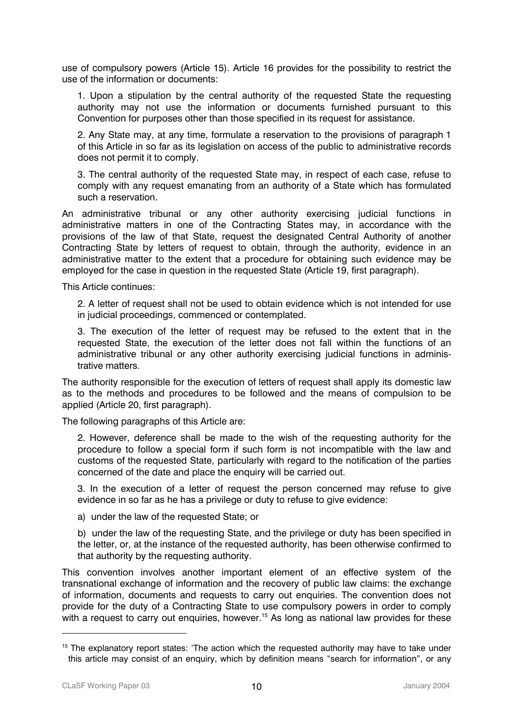use of compulsory powers (Article 15). Article 16 provides for the possibility to restrict the use of the information or documents:

1. Upon a stipulation by the central authority of the requested State the requesting authority may not use the information or documents furnished pursuant to this Convention for purposes other than those specified in its request for assistance.

2. Any State may, at any time, formulate a reservation to the provisions of paragraph 1 of this Article in so far as its legislation on access of the public to administrative records does not permit it to comply.

3. The central authority of the requested State may, in respect of each case, refuse to comply with any request emanating from an authority of a State which has formulated such a reservation.

An administrative tribunal or any other authority exercising judicial functions in administrative matters in one of the Contracting States may, in accordance with the provisions of the law of that State, request the designated Central Authority of another Contracting State by letters of request to obtain, through the authority, evidence in an administrative matter to the extent that a procedure for obtaining such evidence may be employed for the case in question in the requested State (Article 19, first paragraph).

This Article continues:

2. A letter of request shall not be used to obtain evidence which is not intended for use in judicial proceedings, commenced or contemplated.

3. The execution of the letter of request may be refused to the extent that in the requested State, the execution of the letter does not fall within the functions of an administrative tribunal or any other authority exercising judicial functions in administrative matters.

The authority responsible for the execution of letters of request shall apply its domestic law as to the methods and procedures to be followed and the means of compulsion to be applied (Article 20, first paragraph).

The following paragraphs of this Article are:

2. However, deference shall be made to the wish of the requesting authority for the procedure to follow a special form if such form is not incompatible with the law and customs of the requested State, particularly with regard to the notification of the parties concerned of the date and place the enquiry will be carried out.

3. In the execution of a letter of request the person concerned may refuse to give evidence in so far as he has a privilege or duty to refuse to give evidence:

a) under the law of the requested State; or

b) under the law of the requesting State, and the privilege or duty has been specified in the letter, or, at the instance of the requested authority, has been otherwise confirmed to that authority by the requesting authority.

This convention involves another important element of an effective system of the transnational exchange of information and the recovery of public law claims: the exchange of information, documents and requests to carry out enquiries. The convention does not provide for the duty of a Contracting State to use compulsory powers in order to comply with a request to carry out enquiries, however.<sup>15</sup> As long as national law provides for these

<sup>&</sup>lt;sup>15</sup> The explanatory report states: 'The action which the requested authority may have to take under this article may consist of an enquiry, which by definition means "search for information", or any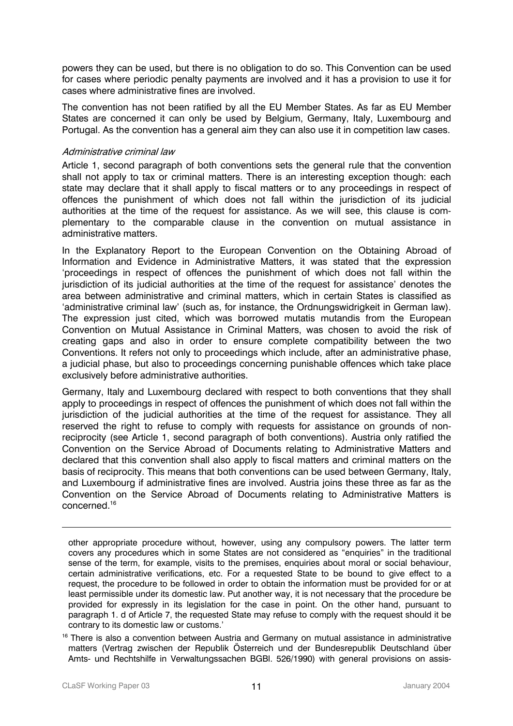powers they can be used, but there is no obligation to do so. This Convention can be used for cases where periodic penalty payments are involved and it has a provision to use it for cases where administrative fines are involved.

The convention has not been ratified by all the EU Member States. As far as EU Member States are concerned it can only be used by Belgium, Germany, Italy, Luxembourg and Portugal. As the convention has a general aim they can also use it in competition law cases.

#### Administrative criminal law

Article 1, second paragraph of both conventions sets the general rule that the convention shall not apply to tax or criminal matters. There is an interesting exception though: each state may declare that it shall apply to fiscal matters or to any proceedings in respect of offences the punishment of which does not fall within the jurisdiction of its judicial authorities at the time of the request for assistance. As we will see, this clause is complementary to the comparable clause in the convention on mutual assistance in administrative matters.

In the Explanatory Report to the European Convention on the Obtaining Abroad of Information and Evidence in Administrative Matters, it was stated that the expression 'proceedings in respect of offences the punishment of which does not fall within the jurisdiction of its judicial authorities at the time of the request for assistance' denotes the area between administrative and criminal matters, which in certain States is classified as 'administrative criminal law' (such as, for instance, the Ordnungswidrigkeit in German law). The expression just cited, which was borrowed mutatis mutandis from the European Convention on Mutual Assistance in Criminal Matters, was chosen to avoid the risk of creating gaps and also in order to ensure complete compatibility between the two Conventions. It refers not only to proceedings which include, after an administrative phase, a judicial phase, but also to proceedings concerning punishable offences which take place exclusively before administrative authorities.

Germany, Italy and Luxembourg declared with respect to both conventions that they shall apply to proceedings in respect of offences the punishment of which does not fall within the jurisdiction of the judicial authorities at the time of the request for assistance. They all reserved the right to refuse to comply with requests for assistance on grounds of nonreciprocity (see Article 1, second paragraph of both conventions). Austria only ratified the Convention on the Service Abroad of Documents relating to Administrative Matters and declared that this convention shall also apply to fiscal matters and criminal matters on the basis of reciprocity. This means that both conventions can be used between Germany, Italy, and Luxembourg if administrative fines are involved. Austria joins these three as far as the Convention on the Service Abroad of Documents relating to Administrative Matters is concerned.16

other appropriate procedure without, however, using any compulsory powers. The latter term covers any procedures which in some States are not considered as "enquiries" in the traditional sense of the term, for example, visits to the premises, enquiries about moral or social behaviour, certain administrative verifications, etc. For a requested State to be bound to give effect to a request, the procedure to be followed in order to obtain the information must be provided for or at least permissible under its domestic law. Put another way, it is not necessary that the procedure be provided for expressly in its legislation for the case in point. On the other hand, pursuant to paragraph 1. d of Article 7, the requested State may refuse to comply with the request should it be contrary to its domestic law or customs.'

<sup>&</sup>lt;sup>16</sup> There is also a convention between Austria and Germany on mutual assistance in administrative matters (Vertrag zwischen der Republik Österreich und der Bundesrepublik Deutschland über Amts- und Rechtshilfe in Verwaltungssachen BGBl. 526/1990) with general provisions on assis-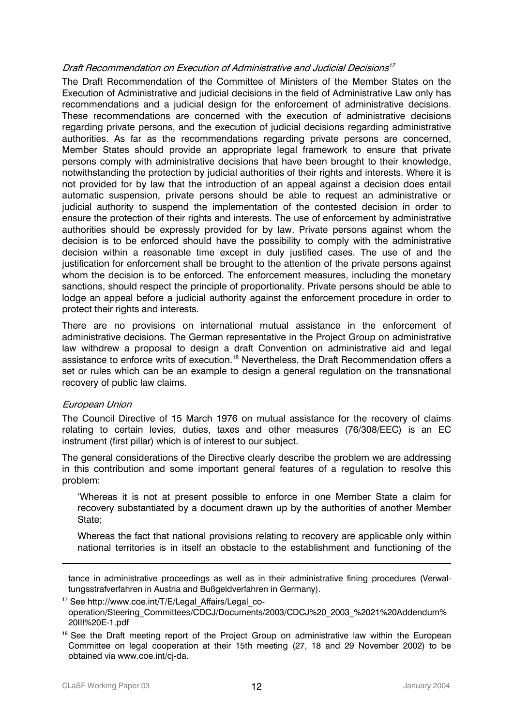#### Draft Recommendation on Execution of Administrative and Judicial Decisions<sup>17</sup>

The Draft Recommendation of the Committee of Ministers of the Member States on the Execution of Administrative and judicial decisions in the field of Administrative Law only has recommendations and a judicial design for the enforcement of administrative decisions. These recommendations are concerned with the execution of administrative decisions regarding private persons, and the execution of judicial decisions regarding administrative authorities. As far as the recommendations regarding private persons are concerned, Member States should provide an appropriate legal framework to ensure that private persons comply with administrative decisions that have been brought to their knowledge, notwithstanding the protection by judicial authorities of their rights and interests. Where it is not provided for by law that the introduction of an appeal against a decision does entail automatic suspension, private persons should be able to request an administrative or judicial authority to suspend the implementation of the contested decision in order to ensure the protection of their rights and interests. The use of enforcement by administrative authorities should be expressly provided for by law. Private persons against whom the decision is to be enforced should have the possibility to comply with the administrative decision within a reasonable time except in duly justified cases. The use of and the justification for enforcement shall be brought to the attention of the private persons against whom the decision is to be enforced. The enforcement measures, including the monetary sanctions, should respect the principle of proportionality. Private persons should be able to lodge an appeal before a judicial authority against the enforcement procedure in order to protect their rights and interests.

There are no provisions on international mutual assistance in the enforcement of administrative decisions. The German representative in the Project Group on administrative law withdrew a proposal to design a draft Convention on administrative aid and legal assistance to enforce writs of execution.<sup>18</sup> Nevertheless, the Draft Recommendation offers a set or rules which can be an example to design a general regulation on the transnational recovery of public law claims.

## European Union

 $\overline{a}$ 

The Council Directive of 15 March 1976 on mutual assistance for the recovery of claims relating to certain levies, duties, taxes and other measures (76/308/EEC) is an EC instrument (first pillar) which is of interest to our subject.

The general considerations of the Directive clearly describe the problem we are addressing in this contribution and some important general features of a regulation to resolve this problem:

'Whereas it is not at present possible to enforce in one Member State a claim for recovery substantiated by a document drawn up by the authorities of another Member State;

Whereas the fact that national provisions relating to recovery are applicable only within national territories is in itself an obstacle to the establishment and functioning of the

tance in administrative proceedings as well as in their administrative fining procedures (Verwaltungsstrafverfahren in Austria and Bußgeldverfahren in Germany).

<sup>17</sup> See http://www.coe.int/T/E/Legal\_Affairs/Legal\_co-

operation/Steering\_Committees/CDCJ/Documents/2003/CDCJ%20\_2003\_%2021%20Addendum% 20III%20E-1.pdf

<sup>18</sup> See the Draft meeting report of the Project Group on administrative law within the European Committee on legal cooperation at their 15th meeting (27, 18 and 29 November 2002) to be obtained via www.coe.int/cj-da.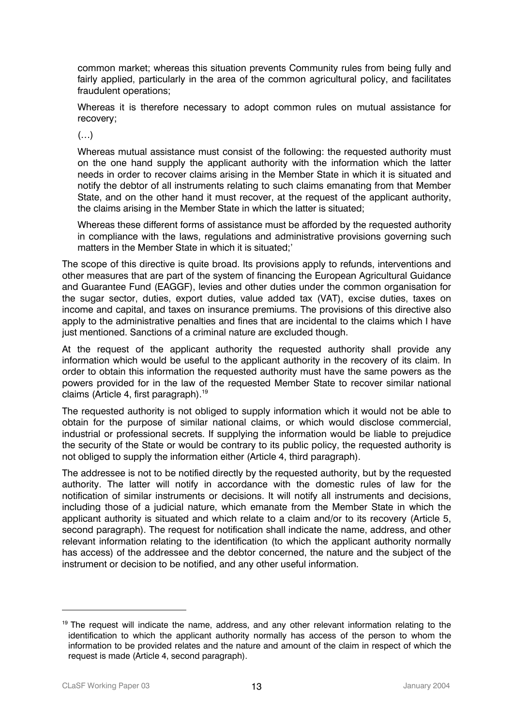common market; whereas this situation prevents Community rules from being fully and fairly applied, particularly in the area of the common agricultural policy, and facilitates fraudulent operations;

Whereas it is therefore necessary to adopt common rules on mutual assistance for recovery;

 $(\ldots)$ 

Whereas mutual assistance must consist of the following: the requested authority must on the one hand supply the applicant authority with the information which the latter needs in order to recover claims arising in the Member State in which it is situated and notify the debtor of all instruments relating to such claims emanating from that Member State, and on the other hand it must recover, at the request of the applicant authority, the claims arising in the Member State in which the latter is situated;

Whereas these different forms of assistance must be afforded by the requested authority in compliance with the laws, regulations and administrative provisions governing such matters in the Member State in which it is situated;'

The scope of this directive is quite broad. Its provisions apply to refunds, interventions and other measures that are part of the system of financing the European Agricultural Guidance and Guarantee Fund (EAGGF), levies and other duties under the common organisation for the sugar sector, duties, export duties, value added tax (VAT), excise duties, taxes on income and capital, and taxes on insurance premiums. The provisions of this directive also apply to the administrative penalties and fines that are incidental to the claims which I have just mentioned. Sanctions of a criminal nature are excluded though.

At the request of the applicant authority the requested authority shall provide any information which would be useful to the applicant authority in the recovery of its claim. In order to obtain this information the requested authority must have the same powers as the powers provided for in the law of the requested Member State to recover similar national claims (Article 4, first paragraph).<sup>19</sup>

The requested authority is not obliged to supply information which it would not be able to obtain for the purpose of similar national claims, or which would disclose commercial, industrial or professional secrets. If supplying the information would be liable to prejudice the security of the State or would be contrary to its public policy, the requested authority is not obliged to supply the information either (Article 4, third paragraph).

The addressee is not to be notified directly by the requested authority, but by the requested authority. The latter will notify in accordance with the domestic rules of law for the notification of similar instruments or decisions. It will notify all instruments and decisions, including those of a judicial nature, which emanate from the Member State in which the applicant authority is situated and which relate to a claim and/or to its recovery (Article 5, second paragraph). The request for notification shall indicate the name, address, and other relevant information relating to the identification (to which the applicant authority normally has access) of the addressee and the debtor concerned, the nature and the subject of the instrument or decision to be notified, and any other useful information.

<sup>&</sup>lt;sup>19</sup> The request will indicate the name, address, and any other relevant information relating to the identification to which the applicant authority normally has access of the person to whom the information to be provided relates and the nature and amount of the claim in respect of which the request is made (Article 4, second paragraph).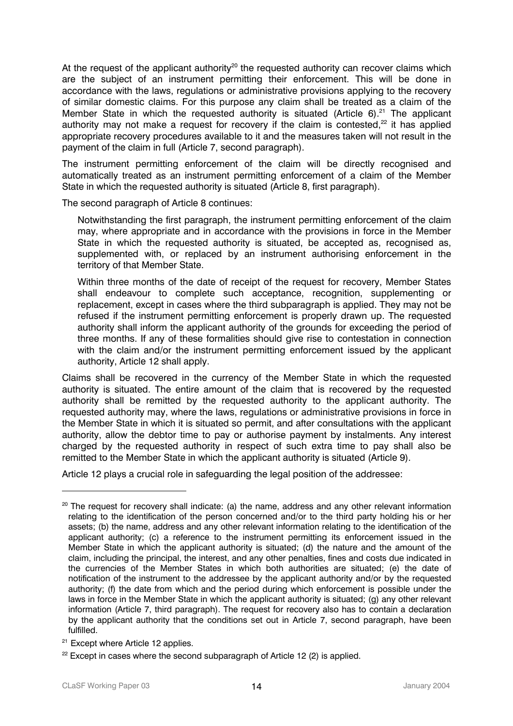At the request of the applicant authority<sup>20</sup> the requested authority can recover claims which are the subject of an instrument permitting their enforcement. This will be done in accordance with the laws, regulations or administrative provisions applying to the recovery of similar domestic claims. For this purpose any claim shall be treated as a claim of the Member State in which the requested authority is situated (Article 6).<sup>21</sup> The applicant authority may not make a request for recovery if the claim is contested,<sup>22</sup> it has applied appropriate recovery procedures available to it and the measures taken will not result in the payment of the claim in full (Article 7, second paragraph).

The instrument permitting enforcement of the claim will be directly recognised and automatically treated as an instrument permitting enforcement of a claim of the Member State in which the requested authority is situated (Article 8, first paragraph).

The second paragraph of Article 8 continues:

Notwithstanding the first paragraph, the instrument permitting enforcement of the claim may, where appropriate and in accordance with the provisions in force in the Member State in which the requested authority is situated, be accepted as, recognised as, supplemented with, or replaced by an instrument authorising enforcement in the territory of that Member State.

Within three months of the date of receipt of the request for recovery, Member States shall endeavour to complete such acceptance, recognition, supplementing or replacement, except in cases where the third subparagraph is applied. They may not be refused if the instrument permitting enforcement is properly drawn up. The requested authority shall inform the applicant authority of the grounds for exceeding the period of three months. If any of these formalities should give rise to contestation in connection with the claim and/or the instrument permitting enforcement issued by the applicant authority, Article 12 shall apply.

Claims shall be recovered in the currency of the Member State in which the requested authority is situated. The entire amount of the claim that is recovered by the requested authority shall be remitted by the requested authority to the applicant authority. The requested authority may, where the laws, regulations or administrative provisions in force in the Member State in which it is situated so permit, and after consultations with the applicant authority, allow the debtor time to pay or authorise payment by instalments. Any interest charged by the requested authority in respect of such extra time to pay shall also be remitted to the Member State in which the applicant authority is situated (Article 9).

Article 12 plays a crucial role in safeguarding the legal position of the addressee:

 $20$  The request for recovery shall indicate: (a) the name, address and any other relevant information relating to the identification of the person concerned and/or to the third party holding his or her assets; (b) the name, address and any other relevant information relating to the identification of the applicant authority; (c) a reference to the instrument permitting its enforcement issued in the Member State in which the applicant authority is situated; (d) the nature and the amount of the claim, including the principal, the interest, and any other penalties, fines and costs due indicated in the currencies of the Member States in which both authorities are situated; (e) the date of notification of the instrument to the addressee by the applicant authority and/or by the requested authority; (f) the date from which and the period during which enforcement is possible under the laws in force in the Member State in which the applicant authority is situated; (g) any other relevant information (Article 7, third paragraph). The request for recovery also has to contain a declaration by the applicant authority that the conditions set out in Article 7, second paragraph, have been fulfilled.

<sup>&</sup>lt;sup>21</sup> Except where Article 12 applies.

 $22$  Except in cases where the second subparagraph of Article 12 (2) is applied.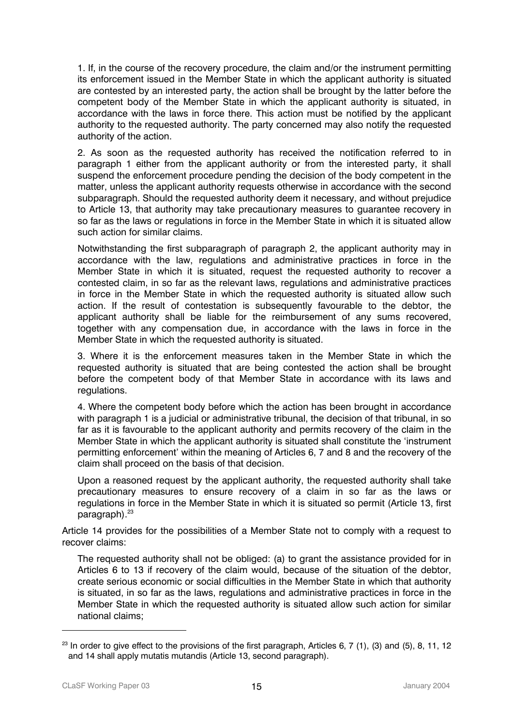1. If, in the course of the recovery procedure, the claim and/or the instrument permitting its enforcement issued in the Member State in which the applicant authority is situated are contested by an interested party, the action shall be brought by the latter before the competent body of the Member State in which the applicant authority is situated, in accordance with the laws in force there. This action must be notified by the applicant authority to the requested authority. The party concerned may also notify the requested authority of the action.

2. As soon as the requested authority has received the notification referred to in paragraph 1 either from the applicant authority or from the interested party, it shall suspend the enforcement procedure pending the decision of the body competent in the matter, unless the applicant authority requests otherwise in accordance with the second subparagraph. Should the requested authority deem it necessary, and without prejudice to Article 13, that authority may take precautionary measures to guarantee recovery in so far as the laws or regulations in force in the Member State in which it is situated allow such action for similar claims.

Notwithstanding the first subparagraph of paragraph 2, the applicant authority may in accordance with the law, regulations and administrative practices in force in the Member State in which it is situated, request the requested authority to recover a contested claim, in so far as the relevant laws, regulations and administrative practices in force in the Member State in which the requested authority is situated allow such action. If the result of contestation is subsequently favourable to the debtor, the applicant authority shall be liable for the reimbursement of any sums recovered, together with any compensation due, in accordance with the laws in force in the Member State in which the requested authority is situated.

3. Where it is the enforcement measures taken in the Member State in which the requested authority is situated that are being contested the action shall be brought before the competent body of that Member State in accordance with its laws and regulations.

4. Where the competent body before which the action has been brought in accordance with paragraph 1 is a judicial or administrative tribunal, the decision of that tribunal, in so far as it is favourable to the applicant authority and permits recovery of the claim in the Member State in which the applicant authority is situated shall constitute the 'instrument permitting enforcement' within the meaning of Articles 6, 7 and 8 and the recovery of the claim shall proceed on the basis of that decision.

Upon a reasoned request by the applicant authority, the requested authority shall take precautionary measures to ensure recovery of a claim in so far as the laws or regulations in force in the Member State in which it is situated so permit (Article 13, first paragraph).<sup>23</sup>

Article 14 provides for the possibilities of a Member State not to comply with a request to recover claims:

The requested authority shall not be obliged: (a) to grant the assistance provided for in Articles 6 to 13 if recovery of the claim would, because of the situation of the debtor, create serious economic or social difficulties in the Member State in which that authority is situated, in so far as the laws, regulations and administrative practices in force in the Member State in which the requested authority is situated allow such action for similar national claims;

 $23$  In order to give effect to the provisions of the first paragraph, Articles 6, 7 (1), (3) and (5), 8, 11, 12 and 14 shall apply mutatis mutandis (Article 13, second paragraph).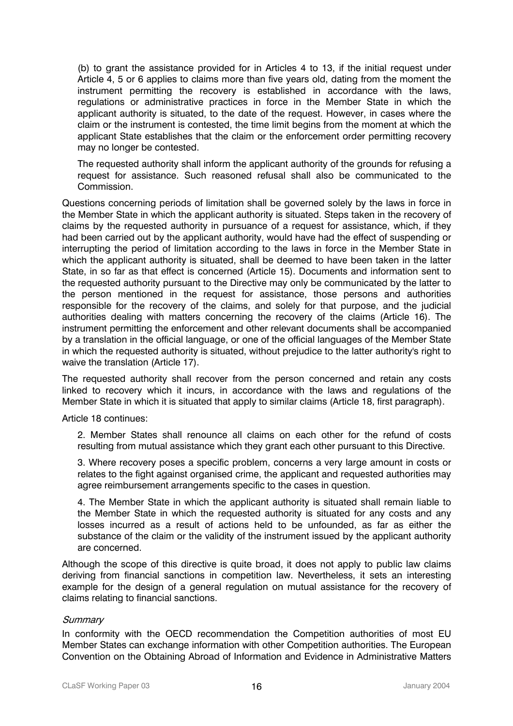(b) to grant the assistance provided for in Articles 4 to 13, if the initial request under Article 4, 5 or 6 applies to claims more than five years old, dating from the moment the instrument permitting the recovery is established in accordance with the laws, regulations or administrative practices in force in the Member State in which the applicant authority is situated, to the date of the request. However, in cases where the claim or the instrument is contested, the time limit begins from the moment at which the applicant State establishes that the claim or the enforcement order permitting recovery may no longer be contested.

The requested authority shall inform the applicant authority of the grounds for refusing a request for assistance. Such reasoned refusal shall also be communicated to the Commission.

Questions concerning periods of limitation shall be governed solely by the laws in force in the Member State in which the applicant authority is situated. Steps taken in the recovery of claims by the requested authority in pursuance of a request for assistance, which, if they had been carried out by the applicant authority, would have had the effect of suspending or interrupting the period of limitation according to the laws in force in the Member State in which the applicant authority is situated, shall be deemed to have been taken in the latter State, in so far as that effect is concerned (Article 15). Documents and information sent to the requested authority pursuant to the Directive may only be communicated by the latter to the person mentioned in the request for assistance, those persons and authorities responsible for the recovery of the claims, and solely for that purpose, and the judicial authorities dealing with matters concerning the recovery of the claims (Article 16). The instrument permitting the enforcement and other relevant documents shall be accompanied by a translation in the official language, or one of the official languages of the Member State in which the requested authority is situated, without prejudice to the latter authority's right to waive the translation (Article 17).

The requested authority shall recover from the person concerned and retain any costs linked to recovery which it incurs, in accordance with the laws and regulations of the Member State in which it is situated that apply to similar claims (Article 18, first paragraph).

Article 18 continues:

2. Member States shall renounce all claims on each other for the refund of costs resulting from mutual assistance which they grant each other pursuant to this Directive.

3. Where recovery poses a specific problem, concerns a very large amount in costs or relates to the fight against organised crime, the applicant and requested authorities may agree reimbursement arrangements specific to the cases in question.

4. The Member State in which the applicant authority is situated shall remain liable to the Member State in which the requested authority is situated for any costs and any losses incurred as a result of actions held to be unfounded, as far as either the substance of the claim or the validity of the instrument issued by the applicant authority are concerned.

Although the scope of this directive is quite broad, it does not apply to public law claims deriving from financial sanctions in competition law. Nevertheless, it sets an interesting example for the design of a general regulation on mutual assistance for the recovery of claims relating to financial sanctions.

#### **Summary**

In conformity with the OECD recommendation the Competition authorities of most EU Member States can exchange information with other Competition authorities. The European Convention on the Obtaining Abroad of Information and Evidence in Administrative Matters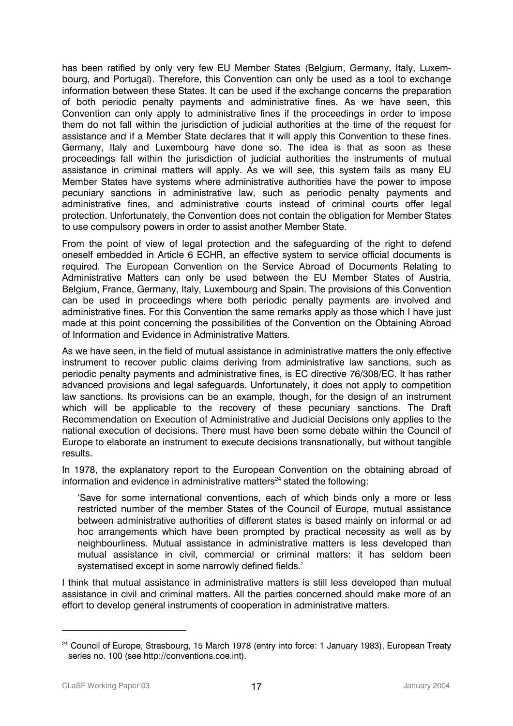has been ratified by only very few EU Member States (Belgium, Germany, Italy, Luxembourg, and Portugal). Therefore, this Convention can only be used as a tool to exchange information between these States. It can be used if the exchange concerns the preparation of both periodic penalty payments and administrative fines. As we have seen, this Convention can only apply to administrative fines if the proceedings in order to impose them do not fall within the jurisdiction of judicial authorities at the time of the request for assistance and if a Member State declares that it will apply this Convention to these fines. Germany, Italy and Luxembourg have done so. The idea is that as soon as these proceedings fall within the jurisdiction of judicial authorities the instruments of mutual assistance in criminal matters will apply. As we will see, this system fails as many EU Member States have systems where administrative authorities have the power to impose pecuniary sanctions in administrative law, such as periodic penalty payments and administrative fines, and administrative courts instead of criminal courts offer legal protection. Unfortunately, the Convention does not contain the obligation for Member States to use compulsory powers in order to assist another Member State.

From the point of view of legal protection and the safeguarding of the right to defend oneself embedded in Article 6 ECHR, an effective system to service official documents is required. The European Convention on the Service Abroad of Documents Relating to Administrative Matters can only be used between the EU Member States of Austria, Belgium, France, Germany, Italy, Luxembourg and Spain. The provisions of this Convention can be used in proceedings where both periodic penalty payments are involved and administrative fines. For this Convention the same remarks apply as those which I have just made at this point concerning the possibilities of the Convention on the Obtaining Abroad of Information and Evidence in Administrative Matters.

As we have seen, in the field of mutual assistance in administrative matters the only effective instrument to recover public claims deriving from administrative law sanctions, such as periodic penalty payments and administrative fines, is EC directive 76/308/EC. It has rather advanced provisions and legal safeguards. Unfortunately, it does not apply to competition law sanctions. Its provisions can be an example, though, for the design of an instrument which will be applicable to the recovery of these pecuniary sanctions. The Draft Recommendation on Execution of Administrative and Judicial Decisions only applies to the national execution of decisions. There must have been some debate within the Council of Europe to elaborate an instrument to execute decisions transnationally, but without tangible results.

In 1978, the explanatory report to the European Convention on the obtaining abroad of information and evidence in administrative matters $24$  stated the following:

'Save for some international conventions, each of which binds only a more or less restricted number of the member States of the Council of Europe, mutual assistance between administrative authorities of different states is based mainly on informal or ad hoc arrangements which have been prompted by practical necessity as well as by neighbourliness. Mutual assistance in administrative matters is less developed than mutual assistance in civil, commercial or criminal matters: it has seldom been systematised except in some narrowly defined fields.'

I think that mutual assistance in administrative matters is still less developed than mutual assistance in civil and criminal matters. All the parties concerned should make more of an effort to develop general instruments of cooperation in administrative matters.

<sup>&</sup>lt;sup>24</sup> Council of Europe, Strasbourg, 15 March 1978 (entry into force: 1 January 1983), European Treaty series no. 100 (see http://conventions.coe.int).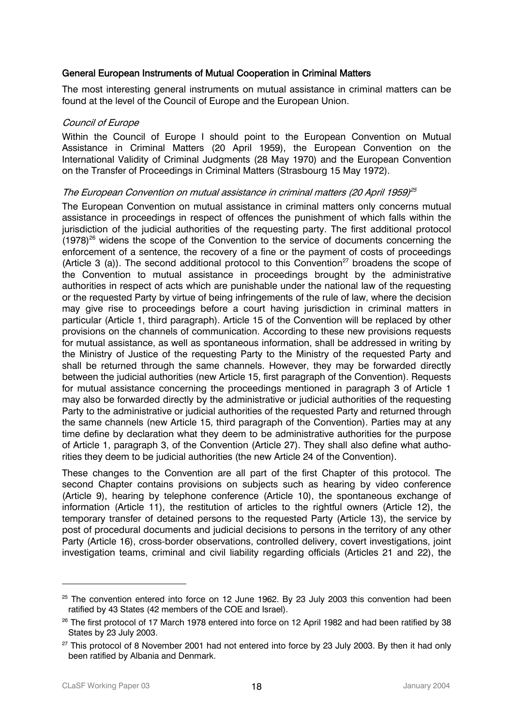## General European Instruments of Mutual Cooperation in Criminal Matters

The most interesting general instruments on mutual assistance in criminal matters can be found at the level of the Council of Europe and the European Union.

#### Council of Europe

Within the Council of Europe I should point to the European Convention on Mutual Assistance in Criminal Matters (20 April 1959), the European Convention on the International Validity of Criminal Judgments (28 May 1970) and the European Convention on the Transfer of Proceedings in Criminal Matters (Strasbourg 15 May 1972).

#### The European Convention on mutual assistance in criminal matters (20 April 1959) 25

The European Convention on mutual assistance in criminal matters only concerns mutual assistance in proceedings in respect of offences the punishment of which falls within the jurisdiction of the judicial authorities of the requesting party. The first additional protocol  $(1978)^{26}$  widens the scope of the Convention to the service of documents concerning the enforcement of a sentence, the recovery of a fine or the payment of costs of proceedings (Article 3 (a)). The second additional protocol to this Convention<sup>27</sup> broadens the scope of the Convention to mutual assistance in proceedings brought by the administrative authorities in respect of acts which are punishable under the national law of the requesting or the requested Party by virtue of being infringements of the rule of law, where the decision may give rise to proceedings before a court having jurisdiction in criminal matters in particular (Article 1, third paragraph). Article 15 of the Convention will be replaced by other provisions on the channels of communication. According to these new provisions requests for mutual assistance, as well as spontaneous information, shall be addressed in writing by the Ministry of Justice of the requesting Party to the Ministry of the requested Party and shall be returned through the same channels. However, they may be forwarded directly between the judicial authorities (new Article 15, first paragraph of the Convention). Requests for mutual assistance concerning the proceedings mentioned in paragraph 3 of Article 1 may also be forwarded directly by the administrative or judicial authorities of the requesting Party to the administrative or judicial authorities of the requested Party and returned through the same channels (new Article 15, third paragraph of the Convention). Parties may at any time define by declaration what they deem to be administrative authorities for the purpose of Article 1, paragraph 3, of the Convention (Article 27). They shall also define what authorities they deem to be judicial authorities (the new Article 24 of the Convention).

These changes to the Convention are all part of the first Chapter of this protocol. The second Chapter contains provisions on subjects such as hearing by video conference (Article 9), hearing by telephone conference (Article 10), the spontaneous exchange of information (Article 11), the restitution of articles to the rightful owners (Article 12), the temporary transfer of detained persons to the requested Party (Article 13), the service by post of procedural documents and judicial decisions to persons in the territory of any other Party (Article 16), cross-border observations, controlled delivery, covert investigations, joint investigation teams, criminal and civil liability regarding officials (Articles 21 and 22), the

 $25$  The convention entered into force on 12 June 1962. By 23 July 2003 this convention had been ratified by 43 States (42 members of the COE and Israel).

<sup>&</sup>lt;sup>26</sup> The first protocol of 17 March 1978 entered into force on 12 April 1982 and had been ratified by 38 States by 23 July 2003.

<sup>&</sup>lt;sup>27</sup> This protocol of 8 November 2001 had not entered into force by 23 July 2003. By then it had only been ratified by Albania and Denmark.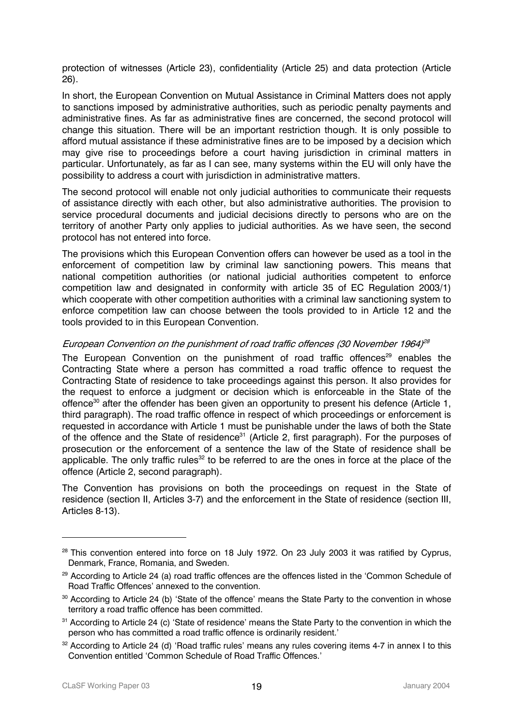protection of witnesses (Article 23), confidentiality (Article 25) and data protection (Article 26).

In short, the European Convention on Mutual Assistance in Criminal Matters does not apply to sanctions imposed by administrative authorities, such as periodic penalty payments and administrative fines. As far as administrative fines are concerned, the second protocol will change this situation. There will be an important restriction though. It is only possible to afford mutual assistance if these administrative fines are to be imposed by a decision which may give rise to proceedings before a court having jurisdiction in criminal matters in particular. Unfortunately, as far as I can see, many systems within the EU will only have the possibility to address a court with jurisdiction in administrative matters.

The second protocol will enable not only judicial authorities to communicate their requests of assistance directly with each other, but also administrative authorities. The provision to service procedural documents and judicial decisions directly to persons who are on the territory of another Party only applies to judicial authorities. As we have seen, the second protocol has not entered into force.

The provisions which this European Convention offers can however be used as a tool in the enforcement of competition law by criminal law sanctioning powers. This means that national competition authorities (or national judicial authorities competent to enforce competition law and designated in conformity with article 35 of EC Regulation 2003/1) which cooperate with other competition authorities with a criminal law sanctioning system to enforce competition law can choose between the tools provided to in Article 12 and the tools provided to in this European Convention.

## European Convention on the punishment of road traffic offences (30 November 1964)<sup>28</sup>

The European Convention on the punishment of road traffic offences<sup>29</sup> enables the Contracting State where a person has committed a road traffic offence to request the Contracting State of residence to take proceedings against this person. It also provides for the request to enforce a judgment or decision which is enforceable in the State of the offence<sup>30</sup> after the offender has been given an opportunity to present his defence (Article 1, third paragraph). The road traffic offence in respect of which proceedings or enforcement is requested in accordance with Article 1 must be punishable under the laws of both the State of the offence and the State of residence<sup>31</sup> (Article 2, first paragraph). For the purposes of prosecution or the enforcement of a sentence the law of the State of residence shall be applicable. The only traffic rules<sup>32</sup> to be referred to are the ones in force at the place of the offence (Article 2, second paragraph).

The Convention has provisions on both the proceedings on request in the State of residence (section II, Articles 3-7) and the enforcement in the State of residence (section III, Articles 8-13).

<sup>&</sup>lt;sup>28</sup> This convention entered into force on 18 July 1972. On 23 July 2003 it was ratified by Cyprus, Denmark, France, Romania, and Sweden.

<sup>&</sup>lt;sup>29</sup> According to Article 24 (a) road traffic offences are the offences listed in the 'Common Schedule of Road Traffic Offences' annexed to the convention.

<sup>&</sup>lt;sup>30</sup> According to Article 24 (b) 'State of the offence' means the State Party to the convention in whose territory a road traffic offence has been committed.

<sup>&</sup>lt;sup>31</sup> According to Article 24 (c) 'State of residence' means the State Party to the convention in which the person who has committed a road traffic offence is ordinarily resident.'

<sup>&</sup>lt;sup>32</sup> According to Article 24 (d) 'Road traffic rules' means any rules covering items 4-7 in annex I to this Convention entitled 'Common Schedule of Road Traffic Offences.'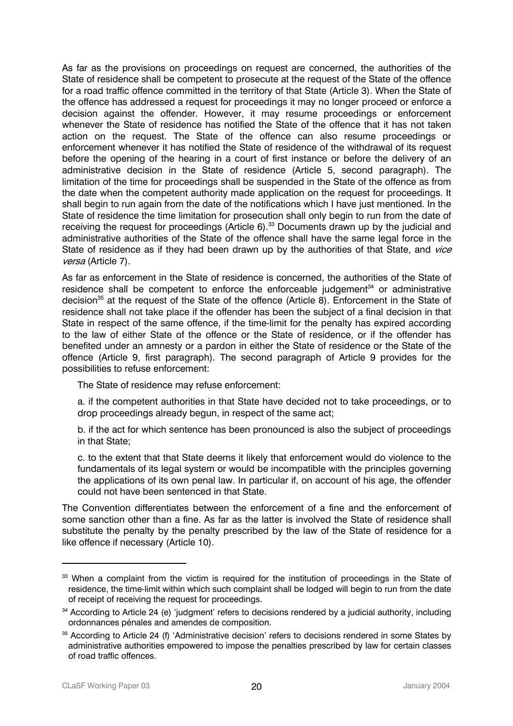As far as the provisions on proceedings on request are concerned, the authorities of the State of residence shall be competent to prosecute at the request of the State of the offence for a road traffic offence committed in the territory of that State (Article 3). When the State of the offence has addressed a request for proceedings it may no longer proceed or enforce a decision against the offender. However, it may resume proceedings or enforcement whenever the State of residence has notified the State of the offence that it has not taken action on the request. The State of the offence can also resume proceedings or enforcement whenever it has notified the State of residence of the withdrawal of its request before the opening of the hearing in a court of first instance or before the delivery of an administrative decision in the State of residence (Article 5, second paragraph). The limitation of the time for proceedings shall be suspended in the State of the offence as from the date when the competent authority made application on the request for proceedings. It shall begin to run again from the date of the notifications which I have just mentioned. In the State of residence the time limitation for prosecution shall only begin to run from the date of receiving the request for proceedings (Article 6).<sup>33</sup> Documents drawn up by the judicial and administrative authorities of the State of the offence shall have the same legal force in the State of residence as if they had been drawn up by the authorities of that State, and vice versa (Article 7).

As far as enforcement in the State of residence is concerned, the authorities of the State of residence shall be competent to enforce the enforceable judgement<sup>34</sup> or administrative decision<sup>35</sup> at the request of the State of the offence (Article 8). Enforcement in the State of residence shall not take place if the offender has been the subject of a final decision in that State in respect of the same offence, if the time-limit for the penalty has expired according to the law of either State of the offence or the State of residence, or if the offender has benefited under an amnesty or a pardon in either the State of residence or the State of the offence (Article 9, first paragraph). The second paragraph of Article 9 provides for the possibilities to refuse enforcement:

The State of residence may refuse enforcement:

a. if the competent authorities in that State have decided not to take proceedings, or to drop proceedings already begun, in respect of the same act;

b. if the act for which sentence has been pronounced is also the subject of proceedings in that State;

c. to the extent that that State deems it likely that enforcement would do violence to the fundamentals of its legal system or would be incompatible with the principles governing the applications of its own penal law. In particular if, on account of his age, the offender could not have been sentenced in that State.

The Convention differentiates between the enforcement of a fine and the enforcement of some sanction other than a fine. As far as the latter is involved the State of residence shall substitute the penalty by the penalty prescribed by the law of the State of residence for a like offence if necessary (Article 10).

<sup>&</sup>lt;sup>33</sup> When a complaint from the victim is required for the institution of proceedings in the State of residence, the time-limit within which such complaint shall be lodged will begin to run from the date of receipt of receiving the request for proceedings.

<sup>&</sup>lt;sup>34</sup> According to Article 24 (e) 'judgment' refers to decisions rendered by a judicial authority, including ordonnances pénales and amendes de composition.

<sup>&</sup>lt;sup>35</sup> According to Article 24 (f) 'Administrative decision' refers to decisions rendered in some States by administrative authorities empowered to impose the penalties prescribed by law for certain classes of road traffic offences.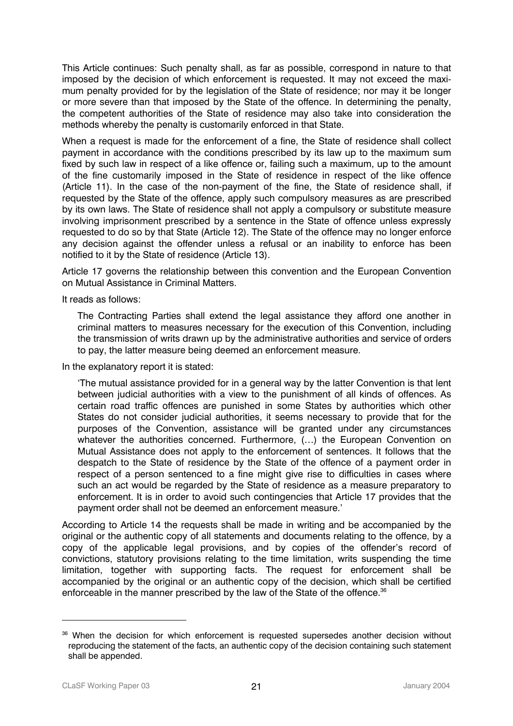This Article continues: Such penalty shall, as far as possible, correspond in nature to that imposed by the decision of which enforcement is requested. It may not exceed the maximum penalty provided for by the legislation of the State of residence; nor may it be longer or more severe than that imposed by the State of the offence. In determining the penalty, the competent authorities of the State of residence may also take into consideration the methods whereby the penalty is customarily enforced in that State.

When a request is made for the enforcement of a fine, the State of residence shall collect payment in accordance with the conditions prescribed by its law up to the maximum sum fixed by such law in respect of a like offence or, failing such a maximum, up to the amount of the fine customarily imposed in the State of residence in respect of the like offence (Article 11). In the case of the non-payment of the fine, the State of residence shall, if requested by the State of the offence, apply such compulsory measures as are prescribed by its own laws. The State of residence shall not apply a compulsory or substitute measure involving imprisonment prescribed by a sentence in the State of offence unless expressly requested to do so by that State (Article 12). The State of the offence may no longer enforce any decision against the offender unless a refusal or an inability to enforce has been notified to it by the State of residence (Article 13).

Article 17 governs the relationship between this convention and the European Convention on Mutual Assistance in Criminal Matters.

It reads as follows:

The Contracting Parties shall extend the legal assistance they afford one another in criminal matters to measures necessary for the execution of this Convention, including the transmission of writs drawn up by the administrative authorities and service of orders to pay, the latter measure being deemed an enforcement measure.

In the explanatory report it is stated:

'The mutual assistance provided for in a general way by the latter Convention is that lent between judicial authorities with a view to the punishment of all kinds of offences. As certain road traffic offences are punished in some States by authorities which other States do not consider judicial authorities, it seems necessary to provide that for the purposes of the Convention, assistance will be granted under any circumstances whatever the authorities concerned. Furthermore, (...) the European Convention on Mutual Assistance does not apply to the enforcement of sentences. It follows that the despatch to the State of residence by the State of the offence of a payment order in respect of a person sentenced to a fine might give rise to difficulties in cases where such an act would be regarded by the State of residence as a measure preparatory to enforcement. It is in order to avoid such contingencies that Article 17 provides that the payment order shall not be deemed an enforcement measure.'

According to Article 14 the requests shall be made in writing and be accompanied by the original or the authentic copy of all statements and documents relating to the offence, by a copy of the applicable legal provisions, and by copies of the offender's record of convictions, statutory provisions relating to the time limitation, writs suspending the time limitation, together with supporting facts. The request for enforcement shall be accompanied by the original or an authentic copy of the decision, which shall be certified enforceable in the manner prescribed by the law of the State of the offence.<sup>36</sup>

<sup>&</sup>lt;sup>36</sup> When the decision for which enforcement is requested supersedes another decision without reproducing the statement of the facts, an authentic copy of the decision containing such statement shall be appended.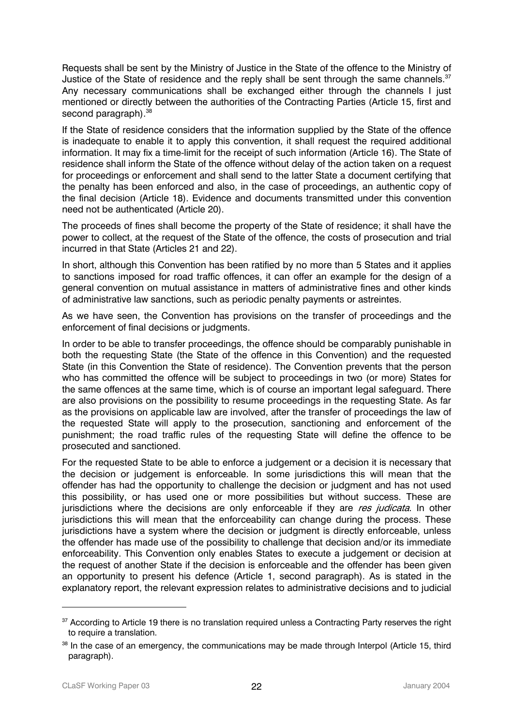Requests shall be sent by the Ministry of Justice in the State of the offence to the Ministry of Justice of the State of residence and the reply shall be sent through the same channels.<sup>37</sup> Any necessary communications shall be exchanged either through the channels I just mentioned or directly between the authorities of the Contracting Parties (Article 15, first and second paragraph).<sup>38</sup>

If the State of residence considers that the information supplied by the State of the offence is inadequate to enable it to apply this convention, it shall request the required additional information. It may fix a time-limit for the receipt of such information (Article 16). The State of residence shall inform the State of the offence without delay of the action taken on a request for proceedings or enforcement and shall send to the latter State a document certifying that the penalty has been enforced and also, in the case of proceedings, an authentic copy of the final decision (Article 18). Evidence and documents transmitted under this convention need not be authenticated (Article 20).

The proceeds of fines shall become the property of the State of residence; it shall have the power to collect, at the request of the State of the offence, the costs of prosecution and trial incurred in that State (Articles 21 and 22).

In short, although this Convention has been ratified by no more than 5 States and it applies to sanctions imposed for road traffic offences, it can offer an example for the design of a general convention on mutual assistance in matters of administrative fines and other kinds of administrative law sanctions, such as periodic penalty payments or astreintes.

As we have seen, the Convention has provisions on the transfer of proceedings and the enforcement of final decisions or judgments.

In order to be able to transfer proceedings, the offence should be comparably punishable in both the requesting State (the State of the offence in this Convention) and the requested State (in this Convention the State of residence). The Convention prevents that the person who has committed the offence will be subject to proceedings in two (or more) States for the same offences at the same time, which is of course an important legal safeguard. There are also provisions on the possibility to resume proceedings in the requesting State. As far as the provisions on applicable law are involved, after the transfer of proceedings the law of the requested State will apply to the prosecution, sanctioning and enforcement of the punishment; the road traffic rules of the requesting State will define the offence to be prosecuted and sanctioned.

For the requested State to be able to enforce a judgement or a decision it is necessary that the decision or judgement is enforceable. In some jurisdictions this will mean that the offender has had the opportunity to challenge the decision or judgment and has not used this possibility, or has used one or more possibilities but without success. These are jurisdictions where the decisions are only enforceable if they are res judicata. In other jurisdictions this will mean that the enforceability can change during the process. These jurisdictions have a system where the decision or judgment is directly enforceable, unless the offender has made use of the possibility to challenge that decision and/or its immediate enforceability. This Convention only enables States to execute a judgement or decision at the request of another State if the decision is enforceable and the offender has been given an opportunity to present his defence (Article 1, second paragraph). As is stated in the explanatory report, the relevant expression relates to administrative decisions and to judicial

<sup>&</sup>lt;sup>37</sup> According to Article 19 there is no translation required unless a Contracting Party reserves the right to require a translation.

<sup>38</sup> In the case of an emergency, the communications may be made through Interpol (Article 15, third paragraph).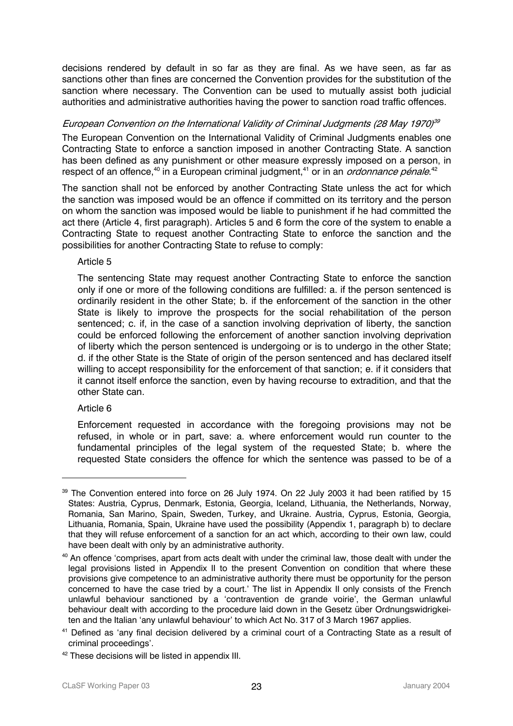decisions rendered by default in so far as they are final. As we have seen, as far as sanctions other than fines are concerned the Convention provides for the substitution of the sanction where necessary. The Convention can be used to mutually assist both judicial authorities and administrative authorities having the power to sanction road traffic offences.

## European Convention on the International Validity of Criminal Judgments (28 May 1970) 39

The European Convention on the International Validity of Criminal Judgments enables one Contracting State to enforce a sanction imposed in another Contracting State. A sanction has been defined as any punishment or other measure expressly imposed on a person, in respect of an offence,<sup>40</sup> in a European criminal judgment,<sup>41</sup> or in an *ordonnance pénale*.<sup>42</sup>

The sanction shall not be enforced by another Contracting State unless the act for which the sanction was imposed would be an offence if committed on its territory and the person on whom the sanction was imposed would be liable to punishment if he had committed the act there (Article 4, first paragraph). Articles 5 and 6 form the core of the system to enable a Contracting State to request another Contracting State to enforce the sanction and the possibilities for another Contracting State to refuse to comply:

#### Article 5

The sentencing State may request another Contracting State to enforce the sanction only if one or more of the following conditions are fulfilled: a. if the person sentenced is ordinarily resident in the other State; b. if the enforcement of the sanction in the other State is likely to improve the prospects for the social rehabilitation of the person sentenced; c. if, in the case of a sanction involving deprivation of liberty, the sanction could be enforced following the enforcement of another sanction involving deprivation of liberty which the person sentenced is undergoing or is to undergo in the other State; d. if the other State is the State of origin of the person sentenced and has declared itself willing to accept responsibility for the enforcement of that sanction; e. if it considers that it cannot itself enforce the sanction, even by having recourse to extradition, and that the other State can.

#### Article 6

 $\overline{a}$ 

Enforcement requested in accordance with the foregoing provisions may not be refused, in whole or in part, save: a. where enforcement would run counter to the fundamental principles of the legal system of the requested State; b. where the requested State considers the offence for which the sentence was passed to be of a

<sup>&</sup>lt;sup>39</sup> The Convention entered into force on 26 July 1974. On 22 July 2003 it had been ratified by 15 States: Austria, Cyprus, Denmark, Estonia, Georgia, Iceland, Lithuania, the Netherlands, Norway, Romania, San Marino, Spain, Sweden, Turkey, and Ukraine. Austria, Cyprus, Estonia, Georgia, Lithuania, Romania, Spain, Ukraine have used the possibility (Appendix 1, paragraph b) to declare that they will refuse enforcement of a sanction for an act which, according to their own law, could have been dealt with only by an administrative authority.

 $40$  An offence 'comprises, apart from acts dealt with under the criminal law, those dealt with under the legal provisions listed in Appendix II to the present Convention on condition that where these provisions give competence to an administrative authority there must be opportunity for the person concerned to have the case tried by a court.' The list in Appendix II only consists of the French unlawful behaviour sanctioned by a 'contravention de grande voirie', the German unlawful behaviour dealt with according to the procedure laid down in the Gesetz über Ordnungswidrigkeiten and the Italian 'any unlawful behaviour' to which Act No. 317 of 3 March 1967 applies.

<sup>&</sup>lt;sup>41</sup> Defined as 'any final decision delivered by a criminal court of a Contracting State as a result of criminal proceedings'.

<sup>&</sup>lt;sup>42</sup> These decisions will be listed in appendix III.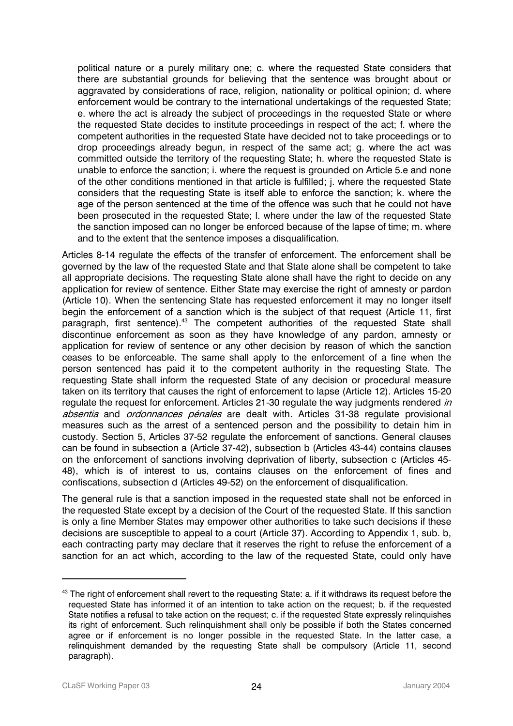political nature or a purely military one; c. where the requested State considers that there are substantial grounds for believing that the sentence was brought about or aggravated by considerations of race, religion, nationality or political opinion; d. where enforcement would be contrary to the international undertakings of the requested State; e. where the act is already the subject of proceedings in the requested State or where the requested State decides to institute proceedings in respect of the act; f. where the competent authorities in the requested State have decided not to take proceedings or to drop proceedings already begun, in respect of the same act; g. where the act was committed outside the territory of the requesting State; h. where the requested State is unable to enforce the sanction; i. where the request is grounded on Article 5.e and none of the other conditions mentioned in that article is fulfilled; j. where the requested State considers that the requesting State is itself able to enforce the sanction; k. where the age of the person sentenced at the time of the offence was such that he could not have been prosecuted in the requested State; l. where under the law of the requested State the sanction imposed can no longer be enforced because of the lapse of time; m. where and to the extent that the sentence imposes a disqualification.

Articles 8-14 regulate the effects of the transfer of enforcement. The enforcement shall be governed by the law of the requested State and that State alone shall be competent to take all appropriate decisions. The requesting State alone shall have the right to decide on any application for review of sentence. Either State may exercise the right of amnesty or pardon (Article 10). When the sentencing State has requested enforcement it may no longer itself begin the enforcement of a sanction which is the subject of that request (Article 11, first paragraph, first sentence).<sup>43</sup> The competent authorities of the requested State shall discontinue enforcement as soon as they have knowledge of any pardon, amnesty or application for review of sentence or any other decision by reason of which the sanction ceases to be enforceable. The same shall apply to the enforcement of a fine when the person sentenced has paid it to the competent authority in the requesting State. The requesting State shall inform the requested State of any decision or procedural measure taken on its territory that causes the right of enforcement to lapse (Article 12). Articles 15-20 regulate the request for enforcement. Articles 21-30 regulate the way judgments rendered in absentia and ordonnances pénales are dealt with. Articles 31-38 regulate provisional measures such as the arrest of a sentenced person and the possibility to detain him in custody. Section 5, Articles 37-52 regulate the enforcement of sanctions. General clauses can be found in subsection a (Article 37-42), subsection b (Articles 43-44) contains clauses on the enforcement of sanctions involving deprivation of liberty, subsection c (Articles 45- 48), which is of interest to us, contains clauses on the enforcement of fines and confiscations, subsection d (Articles 49-52) on the enforcement of disqualification.

The general rule is that a sanction imposed in the requested state shall not be enforced in the requested State except by a decision of the Court of the requested State. If this sanction is only a fine Member States may empower other authorities to take such decisions if these decisions are susceptible to appeal to a court (Article 37). According to Appendix 1, sub. b, each contracting party may declare that it reserves the right to refuse the enforcement of a sanction for an act which, according to the law of the requested State, could only have

<sup>&</sup>lt;sup>43</sup> The right of enforcement shall revert to the requesting State: a. if it withdraws its request before the requested State has informed it of an intention to take action on the request; b. if the requested State notifies a refusal to take action on the request; c. if the requested State expressly relinquishes its right of enforcement. Such relinquishment shall only be possible if both the States concerned agree or if enforcement is no longer possible in the requested State. In the latter case, a relinquishment demanded by the requesting State shall be compulsory (Article 11, second paragraph).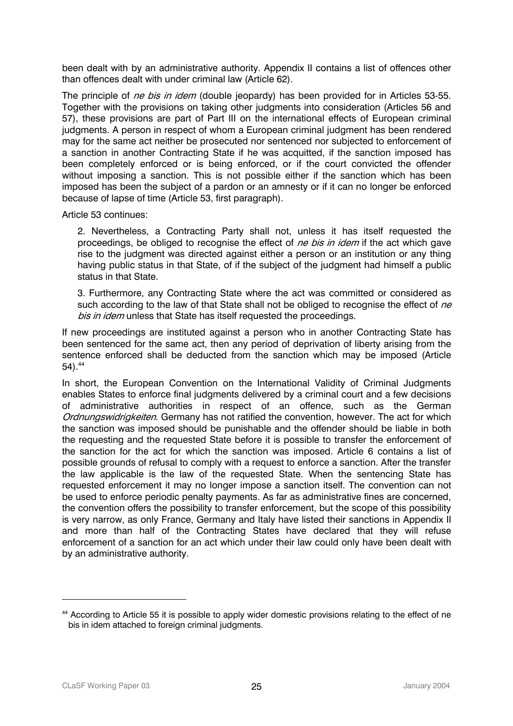been dealt with by an administrative authority. Appendix II contains a list of offences other than offences dealt with under criminal law (Article 62).

The principle of *ne bis in idem* (double jeopardy) has been provided for in Articles 53-55. Together with the provisions on taking other judgments into consideration (Articles 56 and 57), these provisions are part of Part III on the international effects of European criminal judgments. A person in respect of whom a European criminal judgment has been rendered may for the same act neither be prosecuted nor sentenced nor subjected to enforcement of a sanction in another Contracting State if he was acquitted, if the sanction imposed has been completely enforced or is being enforced, or if the court convicted the offender without imposing a sanction. This is not possible either if the sanction which has been imposed has been the subject of a pardon or an amnesty or if it can no longer be enforced because of lapse of time (Article 53, first paragraph).

Article 53 continues:

2. Nevertheless, a Contracting Party shall not, unless it has itself requested the proceedings, be obliged to recognise the effect of *ne bis in idem* if the act which gave rise to the judgment was directed against either a person or an institution or any thing having public status in that State, of if the subject of the judgment had himself a public status in that State.

3. Furthermore, any Contracting State where the act was committed or considered as such according to the law of that State shall not be obliged to recognise the effect of ne bis in idem unless that State has itself requested the proceedings.

If new proceedings are instituted against a person who in another Contracting State has been sentenced for the same act, then any period of deprivation of liberty arising from the sentence enforced shall be deducted from the sanction which may be imposed (Article 54). $44$ 

In short, the European Convention on the International Validity of Criminal Judgments enables States to enforce final judgments delivered by a criminal court and a few decisions of administrative authorities in respect of an offence, such as the German Ordnungswidrigkeiten. Germany has not ratified the convention, however. The act for which the sanction was imposed should be punishable and the offender should be liable in both the requesting and the requested State before it is possible to transfer the enforcement of the sanction for the act for which the sanction was imposed. Article 6 contains a list of possible grounds of refusal to comply with a request to enforce a sanction. After the transfer the law applicable is the law of the requested State. When the sentencing State has requested enforcement it may no longer impose a sanction itself. The convention can not be used to enforce periodic penalty payments. As far as administrative fines are concerned, the convention offers the possibility to transfer enforcement, but the scope of this possibility is very narrow, as only France, Germany and Italy have listed their sanctions in Appendix II and more than half of the Contracting States have declared that they will refuse enforcement of a sanction for an act which under their law could only have been dealt with by an administrative authority.

<sup>&</sup>lt;sup>44</sup> According to Article 55 it is possible to apply wider domestic provisions relating to the effect of ne bis in idem attached to foreign criminal judgments.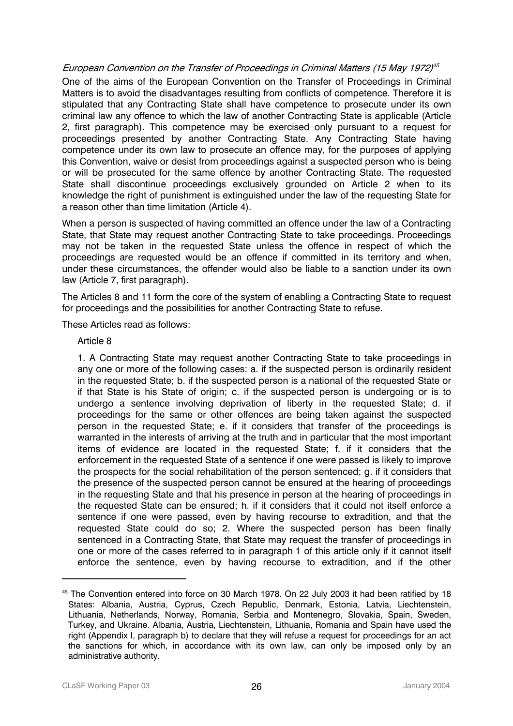## European Convention on the Transfer of Proceedings in Criminal Matters (15 May 1972) 45

One of the aims of the European Convention on the Transfer of Proceedings in Criminal Matters is to avoid the disadvantages resulting from conflicts of competence. Therefore it is stipulated that any Contracting State shall have competence to prosecute under its own criminal law any offence to which the law of another Contracting State is applicable (Article 2, first paragraph). This competence may be exercised only pursuant to a request for proceedings presented by another Contracting State. Any Contracting State having competence under its own law to prosecute an offence may, for the purposes of applying this Convention, waive or desist from proceedings against a suspected person who is being or will be prosecuted for the same offence by another Contracting State. The requested State shall discontinue proceedings exclusively grounded on Article 2 when to its knowledge the right of punishment is extinguished under the law of the requesting State for a reason other than time limitation (Article 4).

When a person is suspected of having committed an offence under the law of a Contracting State, that State may request another Contracting State to take proceedings. Proceedings may not be taken in the requested State unless the offence in respect of which the proceedings are requested would be an offence if committed in its territory and when, under these circumstances, the offender would also be liable to a sanction under its own law (Article 7, first paragraph).

The Articles 8 and 11 form the core of the system of enabling a Contracting State to request for proceedings and the possibilities for another Contracting State to refuse.

These Articles read as follows:

#### Article 8

1. A Contracting State may request another Contracting State to take proceedings in any one or more of the following cases: a. if the suspected person is ordinarily resident in the requested State; b. if the suspected person is a national of the requested State or if that State is his State of origin; c. if the suspected person is undergoing or is to undergo a sentence involving deprivation of liberty in the requested State; d. if proceedings for the same or other offences are being taken against the suspected person in the requested State; e. if it considers that transfer of the proceedings is warranted in the interests of arriving at the truth and in particular that the most important items of evidence are located in the requested State; f. if it considers that the enforcement in the requested State of a sentence if one were passed is likely to improve the prospects for the social rehabilitation of the person sentenced; g. if it considers that the presence of the suspected person cannot be ensured at the hearing of proceedings in the requesting State and that his presence in person at the hearing of proceedings in the requested State can be ensured; h. if it considers that it could not itself enforce a sentence if one were passed, even by having recourse to extradition, and that the requested State could do so; 2. Where the suspected person has been finally sentenced in a Contracting State, that State may request the transfer of proceedings in one or more of the cases referred to in paragraph 1 of this article only if it cannot itself enforce the sentence, even by having recourse to extradition, and if the other

<sup>&</sup>lt;sup>45</sup> The Convention entered into force on 30 March 1978. On 22 July 2003 it had been ratified by 18 States: Albania, Austria, Cyprus, Czech Republic, Denmark, Estonia, Latvia, Liechtenstein, Lithuania, Netherlands, Norway, Romania, Serbia and Montenegro, Slovakia, Spain, Sweden, Turkey, and Ukraine. Albania, Austria, Liechtenstein, Lithuania, Romania and Spain have used the right (Appendix I, paragraph b) to declare that they will refuse a request for proceedings for an act the sanctions for which, in accordance with its own law, can only be imposed only by an administrative authority.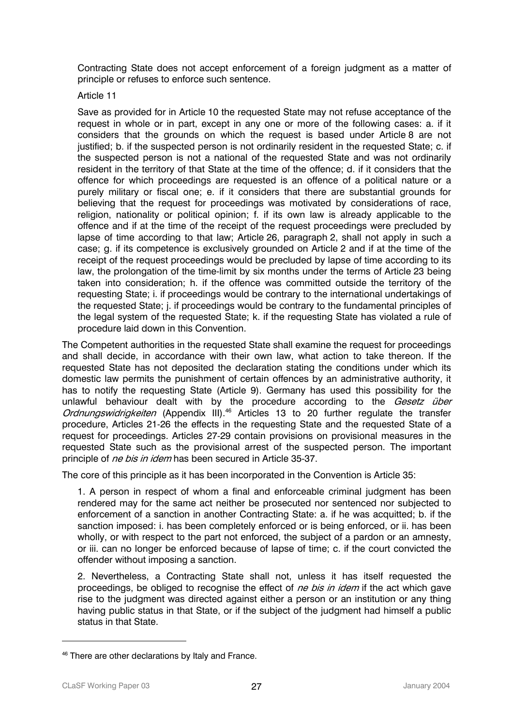Contracting State does not accept enforcement of a foreign judgment as a matter of principle or refuses to enforce such sentence.

#### Article 11

Save as provided for in Article 10 the requested State may not refuse acceptance of the request in whole or in part, except in any one or more of the following cases: a. if it considers that the grounds on which the request is based under Article 8 are not justified; b. if the suspected person is not ordinarily resident in the requested State; c. if the suspected person is not a national of the requested State and was not ordinarily resident in the territory of that State at the time of the offence; d. if it considers that the offence for which proceedings are requested is an offence of a political nature or a purely military or fiscal one; e. if it considers that there are substantial grounds for believing that the request for proceedings was motivated by considerations of race, religion, nationality or political opinion; f. if its own law is already applicable to the offence and if at the time of the receipt of the request proceedings were precluded by lapse of time according to that law; Article 26, paragraph 2, shall not apply in such a case; g. if its competence is exclusively grounded on Article 2 and if at the time of the receipt of the request proceedings would be precluded by lapse of time according to its law, the prolongation of the time-limit by six months under the terms of Article 23 being taken into consideration; h. if the offence was committed outside the territory of the requesting State; i. if proceedings would be contrary to the international undertakings of the requested State; j. if proceedings would be contrary to the fundamental principles of the legal system of the requested State; k. if the requesting State has violated a rule of procedure laid down in this Convention.

The Competent authorities in the requested State shall examine the request for proceedings and shall decide, in accordance with their own law, what action to take thereon. If the requested State has not deposited the declaration stating the conditions under which its domestic law permits the punishment of certain offences by an administrative authority, it has to notify the requesting State (Article 9). Germany has used this possibility for the unlawful behaviour dealt with by the procedure according to the *Gesetz über* Ordnungswidrigkeiten (Appendix III).<sup>46</sup> Articles 13 to 20 further regulate the transfer procedure, Articles 21-26 the effects in the requesting State and the requested State of a request for proceedings. Articles 27-29 contain provisions on provisional measures in the requested State such as the provisional arrest of the suspected person. The important principle of *ne bis in idem* has been secured in Article 35-37.

The core of this principle as it has been incorporated in the Convention is Article 35:

1. A person in respect of whom a final and enforceable criminal judgment has been rendered may for the same act neither be prosecuted nor sentenced nor subjected to enforcement of a sanction in another Contracting State: a. if he was acquitted; b. if the sanction imposed: i. has been completely enforced or is being enforced, or ii. has been wholly, or with respect to the part not enforced, the subject of a pardon or an amnesty, or iii. can no longer be enforced because of lapse of time; c. if the court convicted the offender without imposing a sanction.

2. Nevertheless, a Contracting State shall not, unless it has itself requested the proceedings, be obliged to recognise the effect of *ne bis in idem* if the act which gave rise to the judgment was directed against either a person or an institution or any thing having public status in that State, or if the subject of the judgment had himself a public status in that State.

<sup>&</sup>lt;sup>46</sup> There are other declarations by Italy and France.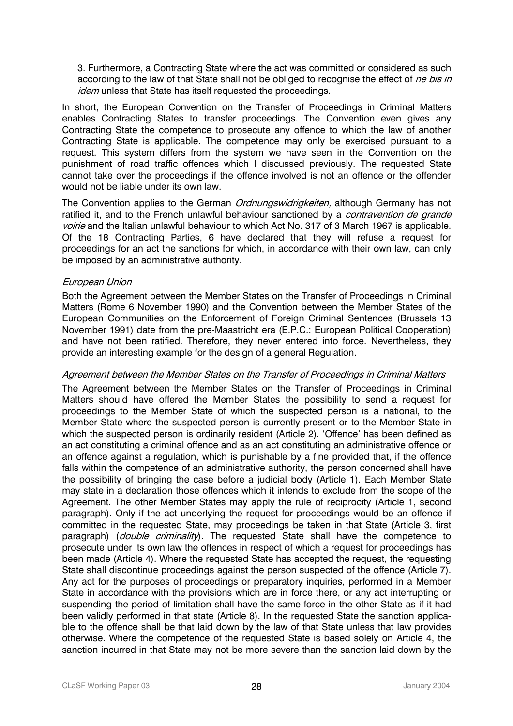3. Furthermore, a Contracting State where the act was committed or considered as such according to the law of that State shall not be obliged to recognise the effect of ne bis in *idem* unless that State has itself requested the proceedings.

In short, the European Convention on the Transfer of Proceedings in Criminal Matters enables Contracting States to transfer proceedings. The Convention even gives any Contracting State the competence to prosecute any offence to which the law of another Contracting State is applicable. The competence may only be exercised pursuant to a request. This system differs from the system we have seen in the Convention on the punishment of road traffic offences which I discussed previously. The requested State cannot take over the proceedings if the offence involved is not an offence or the offender would not be liable under its own law.

The Convention applies to the German *Ordnungswidrigkeiten*, although Germany has not ratified it, and to the French unlawful behaviour sanctioned by a *contravention de grande* voirie and the Italian unlawful behaviour to which Act No. 317 of 3 March 1967 is applicable. Of the 18 Contracting Parties, 6 have declared that they will refuse a request for proceedings for an act the sanctions for which, in accordance with their own law, can only be imposed by an administrative authority.

## European Union

Both the Agreement between the Member States on the Transfer of Proceedings in Criminal Matters (Rome 6 November 1990) and the Convention between the Member States of the European Communities on the Enforcement of Foreign Criminal Sentences (Brussels 13 November 1991) date from the pre-Maastricht era (E.P.C.: European Political Cooperation) and have not been ratified. Therefore, they never entered into force. Nevertheless, they provide an interesting example for the design of a general Regulation.

## Agreement between the Member States on the Transfer of Proceedings in Criminal Matters

The Agreement between the Member States on the Transfer of Proceedings in Criminal Matters should have offered the Member States the possibility to send a request for proceedings to the Member State of which the suspected person is a national, to the Member State where the suspected person is currently present or to the Member State in which the suspected person is ordinarily resident (Article 2). 'Offence' has been defined as an act constituting a criminal offence and as an act constituting an administrative offence or an offence against a regulation, which is punishable by a fine provided that, if the offence falls within the competence of an administrative authority, the person concerned shall have the possibility of bringing the case before a judicial body (Article 1). Each Member State may state in a declaration those offences which it intends to exclude from the scope of the Agreement. The other Member States may apply the rule of reciprocity (Article 1, second paragraph). Only if the act underlying the request for proceedings would be an offence if committed in the requested State, may proceedings be taken in that State (Article 3, first paragraph) (*double criminality*). The requested State shall have the competence to prosecute under its own law the offences in respect of which a request for proceedings has been made (Article 4). Where the requested State has accepted the request, the requesting State shall discontinue proceedings against the person suspected of the offence (Article 7). Any act for the purposes of proceedings or preparatory inquiries, performed in a Member State in accordance with the provisions which are in force there, or any act interrupting or suspending the period of limitation shall have the same force in the other State as if it had been validly performed in that state (Article 8). In the requested State the sanction applicable to the offence shall be that laid down by the law of that State unless that law provides otherwise. Where the competence of the requested State is based solely on Article 4, the sanction incurred in that State may not be more severe than the sanction laid down by the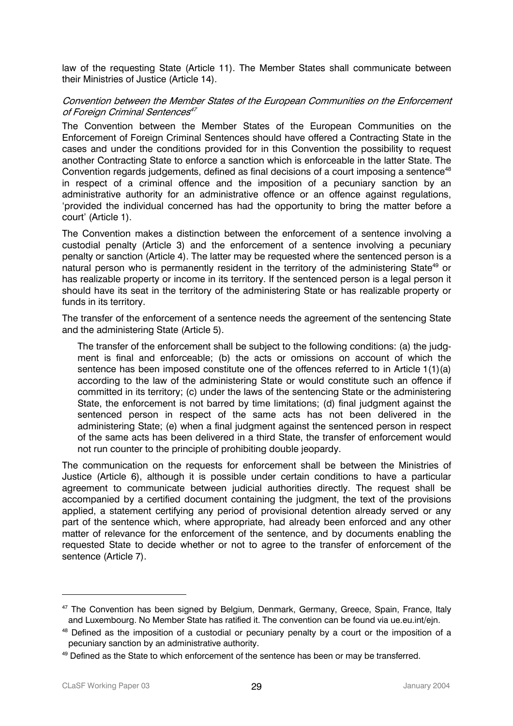law of the requesting State (Article 11). The Member States shall communicate between their Ministries of Justice (Article 14).

## Convention between the Member States of the European Communities on the Enforcement of Foreign Criminal Sentences<sup>47</sup>

The Convention between the Member States of the European Communities on the Enforcement of Foreign Criminal Sentences should have offered a Contracting State in the cases and under the conditions provided for in this Convention the possibility to request another Contracting State to enforce a sanction which is enforceable in the latter State. The Convention regards judgements, defined as final decisions of a court imposing a sentence<sup>48</sup> in respect of a criminal offence and the imposition of a pecuniary sanction by an administrative authority for an administrative offence or an offence against regulations, 'provided the individual concerned has had the opportunity to bring the matter before a court' (Article 1).

The Convention makes a distinction between the enforcement of a sentence involving a custodial penalty (Article 3) and the enforcement of a sentence involving a pecuniary penalty or sanction (Article 4). The latter may be requested where the sentenced person is a natural person who is permanently resident in the territory of the administering State<sup>49</sup> or has realizable property or income in its territory. If the sentenced person is a legal person it should have its seat in the territory of the administering State or has realizable property or funds in its territory.

The transfer of the enforcement of a sentence needs the agreement of the sentencing State and the administering State (Article 5).

The transfer of the enforcement shall be subject to the following conditions: (a) the judgment is final and enforceable; (b) the acts or omissions on account of which the sentence has been imposed constitute one of the offences referred to in Article 1(1)(a) according to the law of the administering State or would constitute such an offence if committed in its territory; (c) under the laws of the sentencing State or the administering State, the enforcement is not barred by time limitations; (d) final judgment against the sentenced person in respect of the same acts has not been delivered in the administering State; (e) when a final judgment against the sentenced person in respect of the same acts has been delivered in a third State, the transfer of enforcement would not run counter to the principle of prohibiting double jeopardy.

The communication on the requests for enforcement shall be between the Ministries of Justice (Article 6), although it is possible under certain conditions to have a particular agreement to communicate between judicial authorities directly. The request shall be accompanied by a certified document containing the judgment, the text of the provisions applied, a statement certifying any period of provisional detention already served or any part of the sentence which, where appropriate, had already been enforced and any other matter of relevance for the enforcement of the sentence, and by documents enabling the requested State to decide whether or not to agree to the transfer of enforcement of the sentence (Article 7).

<sup>&</sup>lt;sup>47</sup> The Convention has been signed by Belgium, Denmark, Germany, Greece, Spain, France, Italy and Luxembourg. No Member State has ratified it. The convention can be found via ue.eu.int/ejn.

<sup>48</sup> Defined as the imposition of a custodial or pecuniary penalty by a court or the imposition of a pecuniary sanction by an administrative authority.

<sup>&</sup>lt;sup>49</sup> Defined as the State to which enforcement of the sentence has been or may be transferred.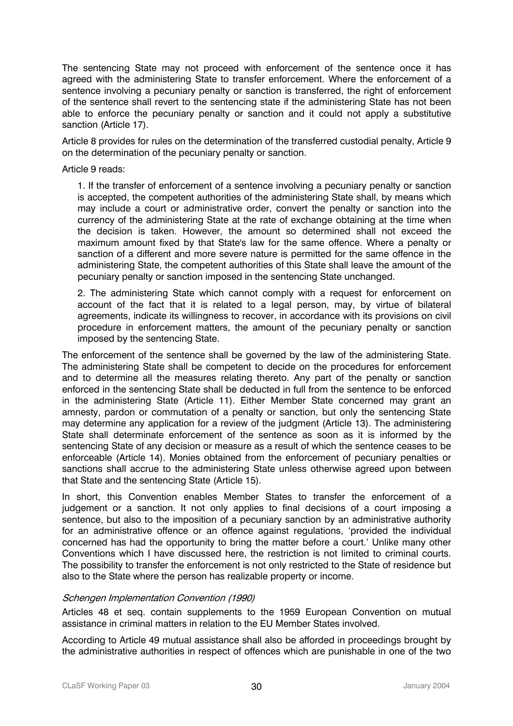The sentencing State may not proceed with enforcement of the sentence once it has agreed with the administering State to transfer enforcement. Where the enforcement of a sentence involving a pecuniary penalty or sanction is transferred, the right of enforcement of the sentence shall revert to the sentencing state if the administering State has not been able to enforce the pecuniary penalty or sanction and it could not apply a substitutive sanction (Article 17).

Article 8 provides for rules on the determination of the transferred custodial penalty, Article 9 on the determination of the pecuniary penalty or sanction.

Article 9 reads:

1. If the transfer of enforcement of a sentence involving a pecuniary penalty or sanction is accepted, the competent authorities of the administering State shall, by means which may include a court or administrative order, convert the penalty or sanction into the currency of the administering State at the rate of exchange obtaining at the time when the decision is taken. However, the amount so determined shall not exceed the maximum amount fixed by that State's law for the same offence. Where a penalty or sanction of a different and more severe nature is permitted for the same offence in the administering State, the competent authorities of this State shall leave the amount of the pecuniary penalty or sanction imposed in the sentencing State unchanged.

2. The administering State which cannot comply with a request for enforcement on account of the fact that it is related to a legal person, may, by virtue of bilateral agreements, indicate its willingness to recover, in accordance with its provisions on civil procedure in enforcement matters, the amount of the pecuniary penalty or sanction imposed by the sentencing State.

The enforcement of the sentence shall be governed by the law of the administering State. The administering State shall be competent to decide on the procedures for enforcement and to determine all the measures relating thereto. Any part of the penalty or sanction enforced in the sentencing State shall be deducted in full from the sentence to be enforced in the administering State (Article 11). Either Member State concerned may grant an amnesty, pardon or commutation of a penalty or sanction, but only the sentencing State may determine any application for a review of the judgment (Article 13). The administering State shall determinate enforcement of the sentence as soon as it is informed by the sentencing State of any decision or measure as a result of which the sentence ceases to be enforceable (Article 14). Monies obtained from the enforcement of pecuniary penalties or sanctions shall accrue to the administering State unless otherwise agreed upon between that State and the sentencing State (Article 15).

In short, this Convention enables Member States to transfer the enforcement of a judgement or a sanction. It not only applies to final decisions of a court imposing a sentence, but also to the imposition of a pecuniary sanction by an administrative authority for an administrative offence or an offence against regulations, 'provided the individual concerned has had the opportunity to bring the matter before a court.' Unlike many other Conventions which I have discussed here, the restriction is not limited to criminal courts. The possibility to transfer the enforcement is not only restricted to the State of residence but also to the State where the person has realizable property or income.

## Schengen Implementation Convention (1990)

Articles 48 et seq. contain supplements to the 1959 European Convention on mutual assistance in criminal matters in relation to the EU Member States involved.

According to Article 49 mutual assistance shall also be afforded in proceedings brought by the administrative authorities in respect of offences which are punishable in one of the two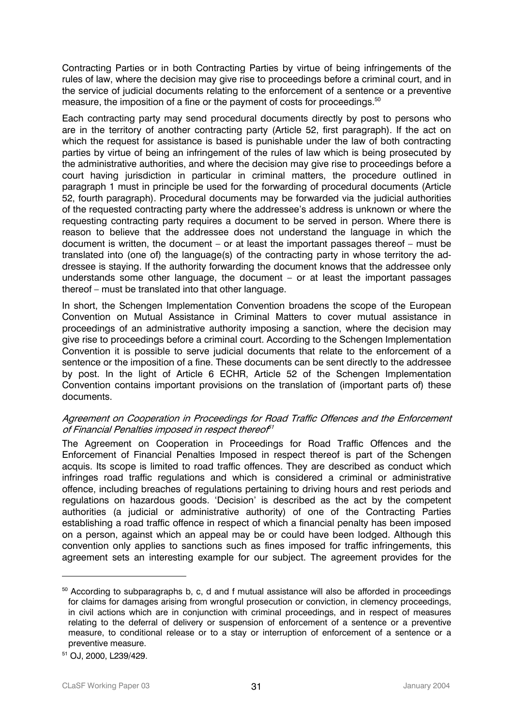Contracting Parties or in both Contracting Parties by virtue of being infringements of the rules of law, where the decision may give rise to proceedings before a criminal court, and in the service of judicial documents relating to the enforcement of a sentence or a preventive measure, the imposition of a fine or the payment of costs for proceedings.<sup>50</sup>

Each contracting party may send procedural documents directly by post to persons who are in the territory of another contracting party (Article 52, first paragraph). If the act on which the request for assistance is based is punishable under the law of both contracting parties by virtue of being an infringement of the rules of law which is being prosecuted by the administrative authorities, and where the decision may give rise to proceedings before a court having jurisdiction in particular in criminal matters, the procedure outlined in paragraph 1 must in principle be used for the forwarding of procedural documents (Article 52, fourth paragraph). Procedural documents may be forwarded via the judicial authorities of the requested contracting party where the addressee's address is unknown or where the requesting contracting party requires a document to be served in person. Where there is reason to believe that the addressee does not understand the language in which the document is written, the document – or at least the important passages thereof – must be translated into (one of) the language(s) of the contracting party in whose territory the addressee is staying. If the authority forwarding the document knows that the addressee only understands some other language, the document – or at least the important passages thereof – must be translated into that other language.

In short, the Schengen Implementation Convention broadens the scope of the European Convention on Mutual Assistance in Criminal Matters to cover mutual assistance in proceedings of an administrative authority imposing a sanction, where the decision may give rise to proceedings before a criminal court. According to the Schengen Implementation Convention it is possible to serve judicial documents that relate to the enforcement of a sentence or the imposition of a fine. These documents can be sent directly to the addressee by post. In the light of Article 6 ECHR, Article 52 of the Schengen Implementation Convention contains important provisions on the translation of (important parts of) these documents.

## Agreement on Cooperation in Proceedings for Road Traffic Offences and the Enforcemen t of Financial Penalties imposed in respect thereof<sup>61</sup>

The Agreement on Cooperation in Proceedings for Road Traffic Offences and the Enforcement of Financial Penalties Imposed in respect thereof is part of the Schengen acquis. Its scope is limited to road traffic offences. They are described as conduct which infringes road traffic regulations and which is considered a criminal or administrative offence, including breaches of regulations pertaining to driving hours and rest periods and regulations on hazardous goods. 'Decision' is described as the act by the competent authorities (a judicial or administrative authority) of one of the Contracting Parties establishing a road traffic offence in respect of which a financial penalty has been imposed on a person, against which an appeal may be or could have been lodged. Although this convention only applies to sanctions such as fines imposed for traffic infringements, this agreement sets an interesting example for our subject. The agreement provides for the

<sup>&</sup>lt;sup>50</sup> According to subparagraphs b, c, d and f mutual assistance will also be afforded in proceedings for claims for damages arising from wrongful prosecution or conviction, in clemency proceedings, in civil actions which are in conjunction with criminal proceedings, and in respect of measures relating to the deferral of delivery or suspension of enforcement of a sentence or a preventive measure, to conditional release or to a stay or interruption of enforcement of a sentence or a preventive measure.

<sup>51</sup> OJ, 2000, L239/429.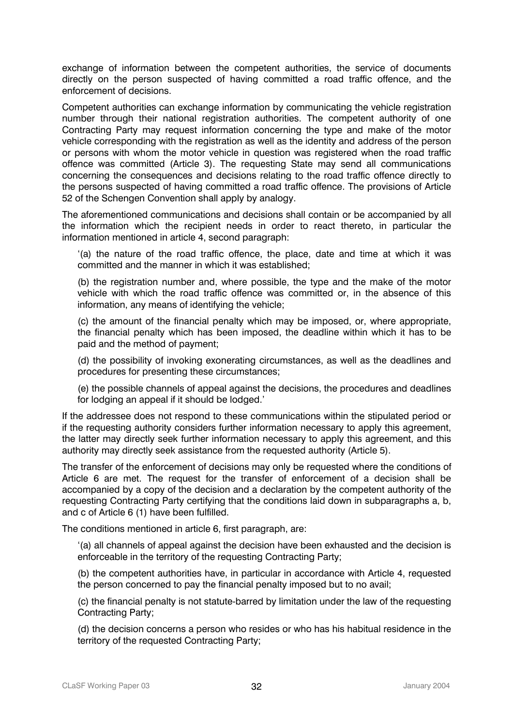exchange of information between the competent authorities, the service of documents directly on the person suspected of having committed a road traffic offence, and the enforcement of decisions.

Competent authorities can exchange information by communicating the vehicle registration number through their national registration authorities. The competent authority of one Contracting Party may request information concerning the type and make of the motor vehicle corresponding with the registration as well as the identity and address of the person or persons with whom the motor vehicle in question was registered when the road traffic offence was committed (Article 3). The requesting State may send all communications concerning the consequences and decisions relating to the road traffic offence directly to the persons suspected of having committed a road traffic offence. The provisions of Article 52 of the Schengen Convention shall apply by analogy.

The aforementioned communications and decisions shall contain or be accompanied by all the information which the recipient needs in order to react thereto, in particular the information mentioned in article 4, second paragraph:

'(a) the nature of the road traffic offence, the place, date and time at which it was committed and the manner in which it was established;

(b) the registration number and, where possible, the type and the make of the motor vehicle with which the road traffic offence was committed or, in the absence of this information, any means of identifying the vehicle;

(c) the amount of the financial penalty which may be imposed, or, where appropriate, the financial penalty which has been imposed, the deadline within which it has to be paid and the method of payment;

(d) the possibility of invoking exonerating circumstances, as well as the deadlines and procedures for presenting these circumstances;

(e) the possible channels of appeal against the decisions, the procedures and deadlines for lodging an appeal if it should be lodged.'

If the addressee does not respond to these communications within the stipulated period or if the requesting authority considers further information necessary to apply this agreement, the latter may directly seek further information necessary to apply this agreement, and this authority may directly seek assistance from the requested authority (Article 5).

The transfer of the enforcement of decisions may only be requested where the conditions of Article 6 are met. The request for the transfer of enforcement of a decision shall be accompanied by a copy of the decision and a declaration by the competent authority of the requesting Contracting Party certifying that the conditions laid down in subparagraphs a, b, and c of Article 6 (1) have been fulfilled.

The conditions mentioned in article 6, first paragraph, are:

'(a) all channels of appeal against the decision have been exhausted and the decision is enforceable in the territory of the requesting Contracting Party;

(b) the competent authorities have, in particular in accordance with Article 4, requested the person concerned to pay the financial penalty imposed but to no avail;

(c) the financial penalty is not statute-barred by limitation under the law of the requesting Contracting Party;

(d) the decision concerns a person who resides or who has his habitual residence in the territory of the requested Contracting Party;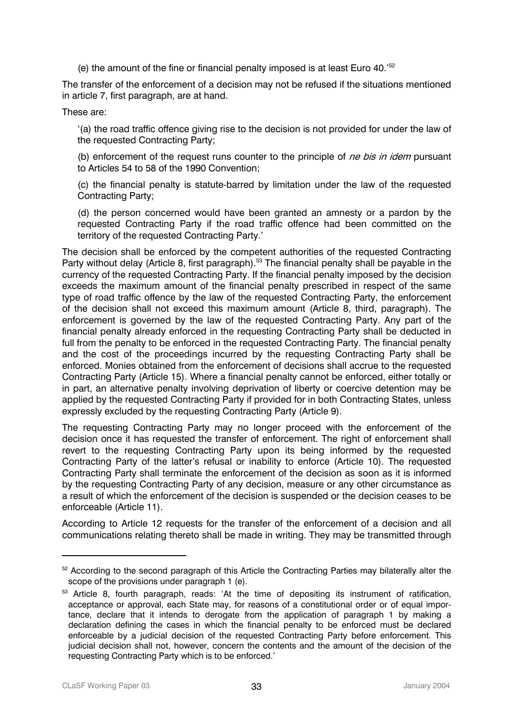(e) the amount of the fine or financial penalty imposed is at least Euro 40.<sup>'52</sup>

The transfer of the enforcement of a decision may not be refused if the situations mentioned in article 7, first paragraph, are at hand.

These are:

'(a) the road traffic offence giving rise to the decision is not provided for under the law of the requested Contracting Party;

(b) enforcement of the request runs counter to the principle of  $ne$  bis in idem pursuant to Articles 54 to 58 of the 1990 Convention;

(c) the financial penalty is statute-barred by limitation under the law of the requested Contracting Party;

(d) the person concerned would have been granted an amnesty or a pardon by the requested Contracting Party if the road traffic offence had been committed on the territory of the requested Contracting Party.'

The decision shall be enforced by the competent authorities of the requested Contracting Party without delay (Article 8, first paragraph).<sup>53</sup> The financial penalty shall be payable in the currency of the requested Contracting Party. If the financial penalty imposed by the decision exceeds the maximum amount of the financial penalty prescribed in respect of the same type of road traffic offence by the law of the requested Contracting Party, the enforcement of the decision shall not exceed this maximum amount (Article 8, third, paragraph). The enforcement is governed by the law of the requested Contracting Party. Any part of the financial penalty already enforced in the requesting Contracting Party shall be deducted in full from the penalty to be enforced in the requested Contracting Party. The financial penalty and the cost of the proceedings incurred by the requesting Contracting Party shall be enforced. Monies obtained from the enforcement of decisions shall accrue to the requested Contracting Party (Article 15). Where a financial penalty cannot be enforced, either totally or in part, an alternative penalty involving deprivation of liberty or coercive detention may be applied by the requested Contracting Party if provided for in both Contracting States, unless expressly excluded by the requesting Contracting Party (Article 9).

The requesting Contracting Party may no longer proceed with the enforcement of the decision once it has requested the transfer of enforcement. The right of enforcement shall revert to the requesting Contracting Party upon its being informed by the requested Contracting Party of the latter's refusal or inability to enforce (Article 10). The requested Contracting Party shall terminate the enforcement of the decision as soon as it is informed by the requesting Contracting Party of any decision, measure or any other circumstance as a result of which the enforcement of the decision is suspended or the decision ceases to be enforceable (Article 11).

According to Article 12 requests for the transfer of the enforcement of a decision and all communications relating thereto shall be made in writing. They may be transmitted through

<sup>&</sup>lt;sup>52</sup> According to the second paragraph of this Article the Contracting Parties may bilaterally alter the scope of the provisions under paragraph 1 (e).

<sup>53</sup> Article 8, fourth paragraph, reads: 'At the time of depositing its instrument of ratification, acceptance or approval, each State may, for reasons of a constitutional order or of equal importance, declare that it intends to derogate from the application of paragraph 1 by making a declaration defining the cases in which the financial penalty to be enforced must be declared enforceable by a judicial decision of the requested Contracting Party before enforcement. This judicial decision shall not, however, concern the contents and the amount of the decision of the requesting Contracting Party which is to be enforced.'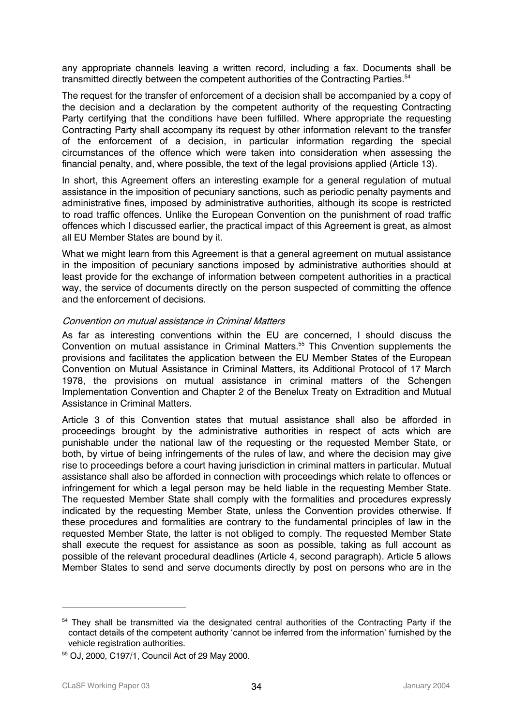any appropriate channels leaving a written record, including a fax. Documents shall be transmitted directly between the competent authorities of the Contracting Parties.<sup>54</sup>

The request for the transfer of enforcement of a decision shall be accompanied by a copy of the decision and a declaration by the competent authority of the requesting Contracting Party certifying that the conditions have been fulfilled. Where appropriate the requesting Contracting Party shall accompany its request by other information relevant to the transfer of the enforcement of a decision, in particular information regarding the special circumstances of the offence which were taken into consideration when assessing the financial penalty, and, where possible, the text of the legal provisions applied (Article 13).

In short, this Agreement offers an interesting example for a general regulation of mutual assistance in the imposition of pecuniary sanctions, such as periodic penalty payments and administrative fines, imposed by administrative authorities, although its scope is restricted to road traffic offences. Unlike the European Convention on the punishment of road traffic offences which I discussed earlier, the practical impact of this Agreement is great, as almost all EU Member States are bound by it.

What we might learn from this Agreement is that a general agreement on mutual assistance in the imposition of pecuniary sanctions imposed by administrative authorities should at least provide for the exchange of information between competent authorities in a practical way, the service of documents directly on the person suspected of committing the offence and the enforcement of decisions.

#### Convention on mutual assistance in Criminal Matters

As far as interesting conventions within the EU are concerned, I should discuss the Convention on mutual assistance in Criminal Matters.55 This Cnvention supplements the provisions and facilitates the application between the EU Member States of the European Convention on Mutual Assistance in Criminal Matters, its Additional Protocol of 17 March 1978, the provisions on mutual assistance in criminal matters of the Schengen Implementation Convention and Chapter 2 of the Benelux Treaty on Extradition and Mutual Assistance in Criminal Matters.

Article 3 of this Convention states that mutual assistance shall also be afforded in proceedings brought by the administrative authorities in respect of acts which are punishable under the national law of the requesting or the requested Member State, or both, by virtue of being infringements of the rules of law, and where the decision may give rise to proceedings before a court having jurisdiction in criminal matters in particular. Mutual assistance shall also be afforded in connection with proceedings which relate to offences or infringement for which a legal person may be held liable in the requesting Member State. The requested Member State shall comply with the formalities and procedures expressly indicated by the requesting Member State, unless the Convention provides otherwise. If these procedures and formalities are contrary to the fundamental principles of law in the requested Member State, the latter is not obliged to comply. The requested Member State shall execute the request for assistance as soon as possible, taking as full account as possible of the relevant procedural deadlines (Article 4, second paragraph). Article 5 allows Member States to send and serve documents directly by post on persons who are in the

<sup>&</sup>lt;sup>54</sup> They shall be transmitted via the designated central authorities of the Contracting Party if the contact details of the competent authority 'cannot be inferred from the information' furnished by the vehicle registration authorities.

<sup>55</sup> OJ, 2000, C197/1, Council Act of 29 May 2000.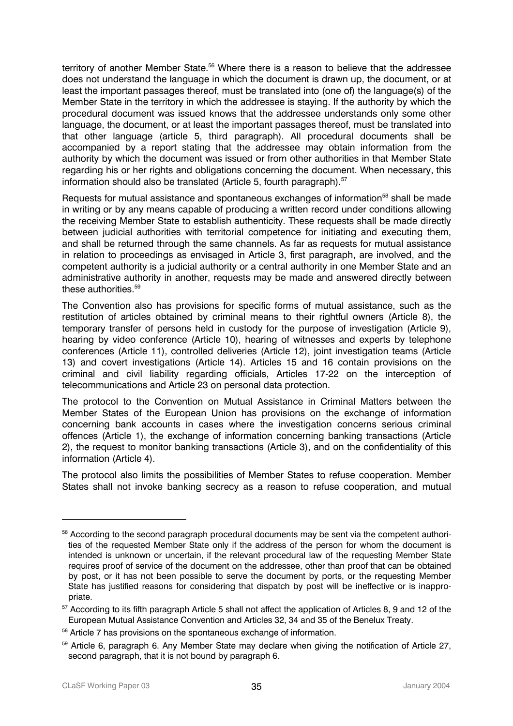territory of another Member State.<sup>56</sup> Where there is a reason to believe that the addressee does not understand the language in which the document is drawn up, the document, or at least the important passages thereof, must be translated into (one of) the language(s) of the Member State in the territory in which the addressee is staying. If the authority by which the procedural document was issued knows that the addressee understands only some other language, the document, or at least the important passages thereof, must be translated into that other language (article 5, third paragraph). All procedural documents shall be accompanied by a report stating that the addressee may obtain information from the authority by which the document was issued or from other authorities in that Member State regarding his or her rights and obligations concerning the document. When necessary, this information should also be translated (Article 5, fourth paragraph).<sup>57</sup>

Requests for mutual assistance and spontaneous exchanges of information<sup>58</sup> shall be made in writing or by any means capable of producing a written record under conditions allowing the receiving Member State to establish authenticity. These requests shall be made directly between judicial authorities with territorial competence for initiating and executing them, and shall be returned through the same channels. As far as requests for mutual assistance in relation to proceedings as envisaged in Article 3, first paragraph, are involved, and the competent authority is a judicial authority or a central authority in one Member State and an administrative authority in another, requests may be made and answered directly between these authorities.<sup>59</sup>

The Convention also has provisions for specific forms of mutual assistance, such as the restitution of articles obtained by criminal means to their rightful owners (Article 8), the temporary transfer of persons held in custody for the purpose of investigation (Article 9), hearing by video conference (Article 10), hearing of witnesses and experts by telephone conferences (Article 11), controlled deliveries (Article 12), joint investigation teams (Article 13) and covert investigations (Article 14). Articles 15 and 16 contain provisions on the criminal and civil liability regarding officials, Articles 17-22 on the interception of telecommunications and Article 23 on personal data protection.

The protocol to the Convention on Mutual Assistance in Criminal Matters between the Member States of the European Union has provisions on the exchange of information concerning bank accounts in cases where the investigation concerns serious criminal offences (Article 1), the exchange of information concerning banking transactions (Article 2), the request to monitor banking transactions (Article 3), and on the confidentiality of this information (Article 4).

The protocol also limits the possibilities of Member States to refuse cooperation. Member States shall not invoke banking secrecy as a reason to refuse cooperation, and mutual

<sup>&</sup>lt;sup>56</sup> According to the second paragraph procedural documents may be sent via the competent authorities of the requested Member State only if the address of the person for whom the document is intended is unknown or uncertain, if the relevant procedural law of the requesting Member State requires proof of service of the document on the addressee, other than proof that can be obtained by post, or it has not been possible to serve the document by ports, or the requesting Member State has justified reasons for considering that dispatch by post will be ineffective or is inappropriate.

<sup>57</sup> According to its fifth paragraph Article 5 shall not affect the application of Articles 8, 9 and 12 of the European Mutual Assistance Convention and Articles 32, 34 and 35 of the Benelux Treaty.

<sup>&</sup>lt;sup>58</sup> Article 7 has provisions on the spontaneous exchange of information.

<sup>&</sup>lt;sup>59</sup> Article 6, paragraph 6. Any Member State may declare when giving the notification of Article 27, second paragraph, that it is not bound by paragraph 6.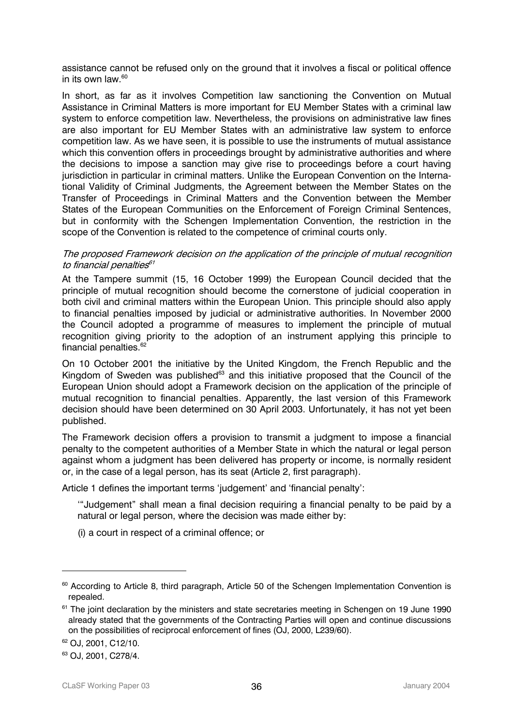assistance cannot be refused only on the ground that it involves a fiscal or political offence in its own law. $60$ 

In short, as far as it involves Competition law sanctioning the Convention on Mutual Assistance in Criminal Matters is more important for EU Member States with a criminal law system to enforce competition law. Nevertheless, the provisions on administrative law fines are also important for EU Member States with an administrative law system to enforce competition law. As we have seen, it is possible to use the instruments of mutual assistance which this convention offers in proceedings brought by administrative authorities and where the decisions to impose a sanction may give rise to proceedings before a court having jurisdiction in particular in criminal matters. Unlike the European Convention on the International Validity of Criminal Judgments, the Agreement between the Member States on the Transfer of Proceedings in Criminal Matters and the Convention between the Member States of the European Communities on the Enforcement of Foreign Criminal Sentences, but in conformity with the Schengen Implementation Convention, the restriction in the scope of the Convention is related to the competence of criminal courts only.

#### The proposed Framework decision on the application of the principle of mutual recognition to financial penalties<sup>61</sup>

At the Tampere summit (15, 16 October 1999) the European Council decided that the principle of mutual recognition should become the cornerstone of judicial cooperation in both civil and criminal matters within the European Union. This principle should also apply to financial penalties imposed by judicial or administrative authorities. In November 2000 the Council adopted a programme of measures to implement the principle of mutual recognition giving priority to the adoption of an instrument applying this principle to financial penalties.<sup>62</sup>

On 10 October 2001 the initiative by the United Kingdom, the French Republic and the Kingdom of Sweden was published $63$  and this initiative proposed that the Council of the European Union should adopt a Framework decision on the application of the principle of mutual recognition to financial penalties. Apparently, the last version of this Framework decision should have been determined on 30 April 2003. Unfortunately, it has not yet been published.

The Framework decision offers a provision to transmit a judgment to impose a financial penalty to the competent authorities of a Member State in which the natural or legal person against whom a judgment has been delivered has property or income, is normally resident or, in the case of a legal person, has its seat (Article 2, first paragraph).

Article 1 defines the important terms 'judgement' and 'financial penalty':

'"Judgement" shall mean a final decision requiring a financial penalty to be paid by a natural or legal person, where the decision was made either by:

(i) a court in respect of a criminal offence; or

<sup>&</sup>lt;sup>60</sup> According to Article 8, third paragraph, Article 50 of the Schengen Implementation Convention is repealed.

<sup>&</sup>lt;sup>61</sup> The joint declaration by the ministers and state secretaries meeting in Schengen on 19 June 1990 already stated that the governments of the Contracting Parties will open and continue discussions on the possibilities of reciprocal enforcement of fines (OJ, 2000, L239/60).

<sup>62</sup> OJ, 2001, C12/10.

<sup>63</sup> OJ, 2001, C278/4.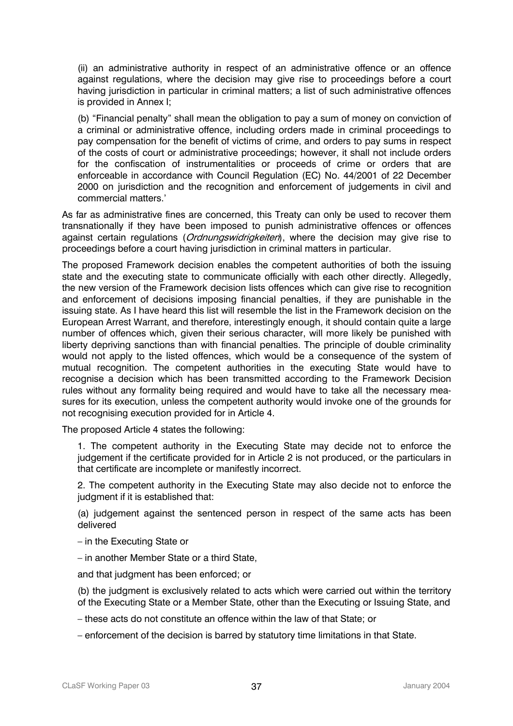(ii) an administrative authority in respect of an administrative offence or an offence against regulations, where the decision may give rise to proceedings before a court having jurisdiction in particular in criminal matters; a list of such administrative offences is provided in Annex I;

(b) "Financial penalty" shall mean the obligation to pay a sum of money on conviction of a criminal or administrative offence, including orders made in criminal proceedings to pay compensation for the benefit of victims of crime, and orders to pay sums in respect of the costs of court or administrative proceedings; however, it shall not include orders for the confiscation of instrumentalities or proceeds of crime or orders that are enforceable in accordance with Council Regulation (EC) No. 44/2001 of 22 December 2000 on jurisdiction and the recognition and enforcement of judgements in civil and commercial matters.'

As far as administrative fines are concerned, this Treaty can only be used to recover them transnationally if they have been imposed to punish administrative offences or offences against certain regulations (*Ordnungswidrigkeiten*), where the decision may give rise to proceedings before a court having jurisdiction in criminal matters in particular.

The proposed Framework decision enables the competent authorities of both the issuing state and the executing state to communicate officially with each other directly. Allegedly, the new version of the Framework decision lists offences which can give rise to recognition and enforcement of decisions imposing financial penalties, if they are punishable in the issuing state. As I have heard this list will resemble the list in the Framework decision on the European Arrest Warrant, and therefore, interestingly enough, it should contain quite a large number of offences which, given their serious character, will more likely be punished with liberty depriving sanctions than with financial penalties. The principle of double criminality would not apply to the listed offences, which would be a consequence of the system of mutual recognition. The competent authorities in the executing State would have to recognise a decision which has been transmitted according to the Framework Decision rules without any formality being required and would have to take all the necessary measures for its execution, unless the competent authority would invoke one of the grounds for not recognising execution provided for in Article 4.

The proposed Article 4 states the following:

1. The competent authority in the Executing State may decide not to enforce the judgement if the certificate provided for in Article 2 is not produced, or the particulars in that certificate are incomplete or manifestly incorrect.

2. The competent authority in the Executing State may also decide not to enforce the judgment if it is established that:

(a) judgement against the sentenced person in respect of the same acts has been delivered

– in the Executing State or

– in another Member State or a third State,

and that judgment has been enforced; or

(b) the judgment is exclusively related to acts which were carried out within the territory of the Executing State or a Member State, other than the Executing or Issuing State, and

– these acts do not constitute an offence within the law of that State; or

– enforcement of the decision is barred by statutory time limitations in that State.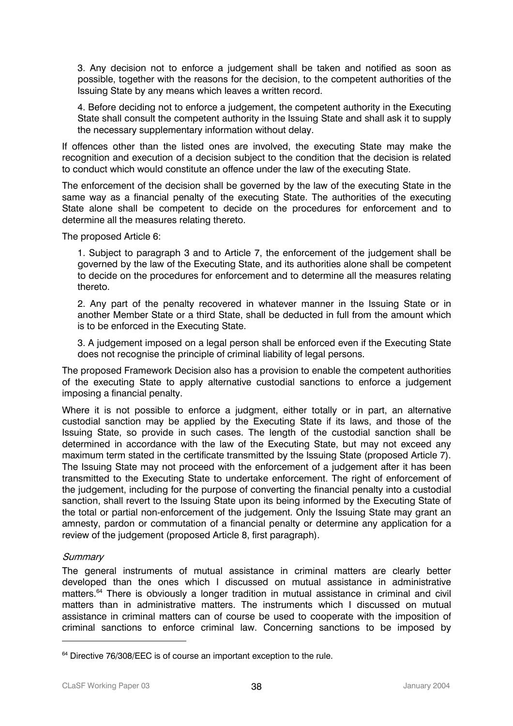3. Any decision not to enforce a judgement shall be taken and notified as soon as possible, together with the reasons for the decision, to the competent authorities of the Issuing State by any means which leaves a written record.

4. Before deciding not to enforce a judgement, the competent authority in the Executing State shall consult the competent authority in the Issuing State and shall ask it to supply the necessary supplementary information without delay.

If offences other than the listed ones are involved, the executing State may make the recognition and execution of a decision subject to the condition that the decision is related to conduct which would constitute an offence under the law of the executing State.

The enforcement of the decision shall be governed by the law of the executing State in the same way as a financial penalty of the executing State. The authorities of the executing State alone shall be competent to decide on the procedures for enforcement and to determine all the measures relating thereto.

The proposed Article 6:

1. Subject to paragraph 3 and to Article 7, the enforcement of the judgement shall be governed by the law of the Executing State, and its authorities alone shall be competent to decide on the procedures for enforcement and to determine all the measures relating thereto.

2. Any part of the penalty recovered in whatever manner in the Issuing State or in another Member State or a third State, shall be deducted in full from the amount which is to be enforced in the Executing State.

3. A judgement imposed on a legal person shall be enforced even if the Executing State does not recognise the principle of criminal liability of legal persons.

The proposed Framework Decision also has a provision to enable the competent authorities of the executing State to apply alternative custodial sanctions to enforce a judgement imposing a financial penalty.

Where it is not possible to enforce a judgment, either totally or in part, an alternative custodial sanction may be applied by the Executing State if its laws, and those of the Issuing State, so provide in such cases. The length of the custodial sanction shall be determined in accordance with the law of the Executing State, but may not exceed any maximum term stated in the certificate transmitted by the Issuing State (proposed Article 7). The Issuing State may not proceed with the enforcement of a judgement after it has been transmitted to the Executing State to undertake enforcement. The right of enforcement of the judgement, including for the purpose of converting the financial penalty into a custodial sanction, shall revert to the Issuing State upon its being informed by the Executing State of the total or partial non-enforcement of the judgement. Only the Issuing State may grant an amnesty, pardon or commutation of a financial penalty or determine any application for a review of the judgement (proposed Article 8, first paragraph).

## **Summary**

 $\overline{a}$ 

The general instruments of mutual assistance in criminal matters are clearly better developed than the ones which I discussed on mutual assistance in administrative matters.<sup>64</sup> There is obviously a longer tradition in mutual assistance in criminal and civil matters than in administrative matters. The instruments which I discussed on mutual assistance in criminal matters can of course be used to cooperate with the imposition of criminal sanctions to enforce criminal law. Concerning sanctions to be imposed by

 $64$  Directive 76/308/EEC is of course an important exception to the rule.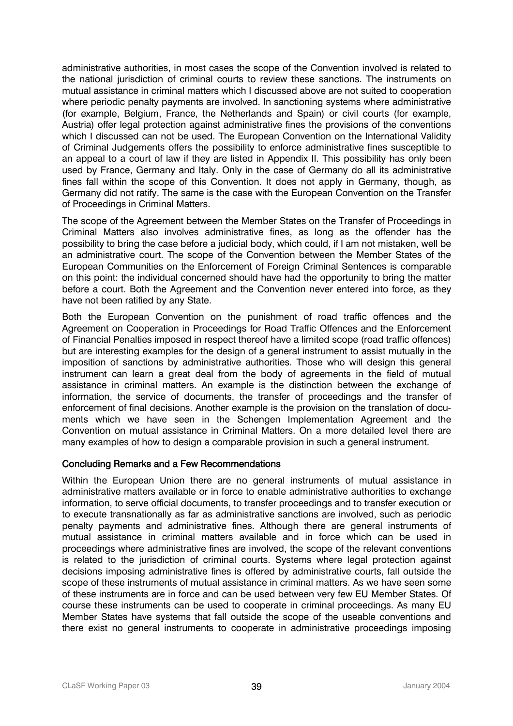administrative authorities, in most cases the scope of the Convention involved is related to the national jurisdiction of criminal courts to review these sanctions. The instruments on mutual assistance in criminal matters which I discussed above are not suited to cooperation where periodic penalty payments are involved. In sanctioning systems where administrative (for example, Belgium, France, the Netherlands and Spain) or civil courts (for example, Austria) offer legal protection against administrative fines the provisions of the conventions which I discussed can not be used. The European Convention on the International Validity of Criminal Judgements offers the possibility to enforce administrative fines susceptible to an appeal to a court of law if they are listed in Appendix II. This possibility has only been used by France, Germany and Italy. Only in the case of Germany do all its administrative fines fall within the scope of this Convention. It does not apply in Germany, though, as Germany did not ratify. The same is the case with the European Convention on the Transfer of Proceedings in Criminal Matters.

The scope of the Agreement between the Member States on the Transfer of Proceedings in Criminal Matters also involves administrative fines, as long as the offender has the possibility to bring the case before a judicial body, which could, if I am not mistaken, well be an administrative court. The scope of the Convention between the Member States of the European Communities on the Enforcement of Foreign Criminal Sentences is comparable on this point: the individual concerned should have had the opportunity to bring the matter before a court. Both the Agreement and the Convention never entered into force, as they have not been ratified by any State.

Both the European Convention on the punishment of road traffic offences and the Agreement on Cooperation in Proceedings for Road Traffic Offences and the Enforcement of Financial Penalties imposed in respect thereof have a limited scope (road traffic offences) but are interesting examples for the design of a general instrument to assist mutually in the imposition of sanctions by administrative authorities. Those who will design this general instrument can learn a great deal from the body of agreements in the field of mutual assistance in criminal matters. An example is the distinction between the exchange of information, the service of documents, the transfer of proceedings and the transfer of enforcement of final decisions. Another example is the provision on the translation of documents which we have seen in the Schengen Implementation Agreement and the Convention on mutual assistance in Criminal Matters. On a more detailed level there are many examples of how to design a comparable provision in such a general instrument.

## Concluding Remarks and a Few Recommendations

Within the European Union there are no general instruments of mutual assistance in administrative matters available or in force to enable administrative authorities to exchange information, to serve official documents, to transfer proceedings and to transfer execution or to execute transnationally as far as administrative sanctions are involved, such as periodic penalty payments and administrative fines. Although there are general instruments of mutual assistance in criminal matters available and in force which can be used in proceedings where administrative fines are involved, the scope of the relevant conventions is related to the jurisdiction of criminal courts. Systems where legal protection against decisions imposing administrative fines is offered by administrative courts, fall outside the scope of these instruments of mutual assistance in criminal matters. As we have seen some of these instruments are in force and can be used between very few EU Member States. Of course these instruments can be used to cooperate in criminal proceedings. As many EU Member States have systems that fall outside the scope of the useable conventions and there exist no general instruments to cooperate in administrative proceedings imposing